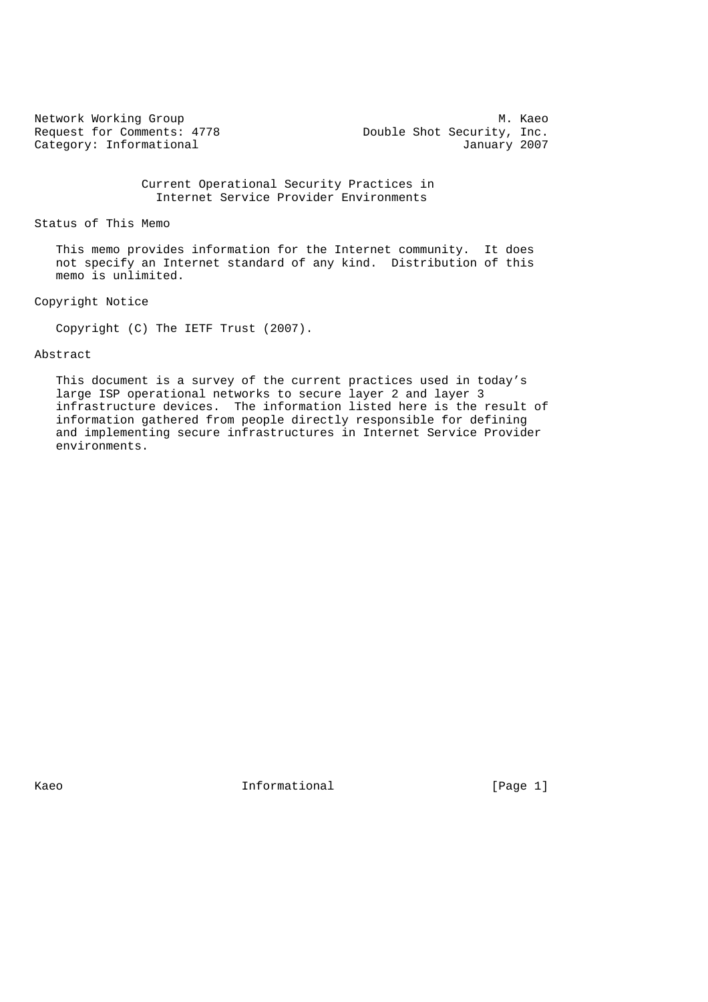Category: Informational

Network Working Group Metwork Working Group Metwork Working Group<br>Request for Comments: 4778 Metal Double Shot Security, Inc. Double Shot Security, Inc.<br>January 2007

## Current Operational Security Practices in Internet Service Provider Environments

#### Status of This Memo

 This memo provides information for the Internet community. It does not specify an Internet standard of any kind. Distribution of this memo is unlimited.

## Copyright Notice

Copyright (C) The IETF Trust (2007).

## Abstract

 This document is a survey of the current practices used in today's large ISP operational networks to secure layer 2 and layer 3 infrastructure devices. The information listed here is the result of information gathered from people directly responsible for defining and implementing secure infrastructures in Internet Service Provider environments.

Kaeo **Informational Informational** [Page 1]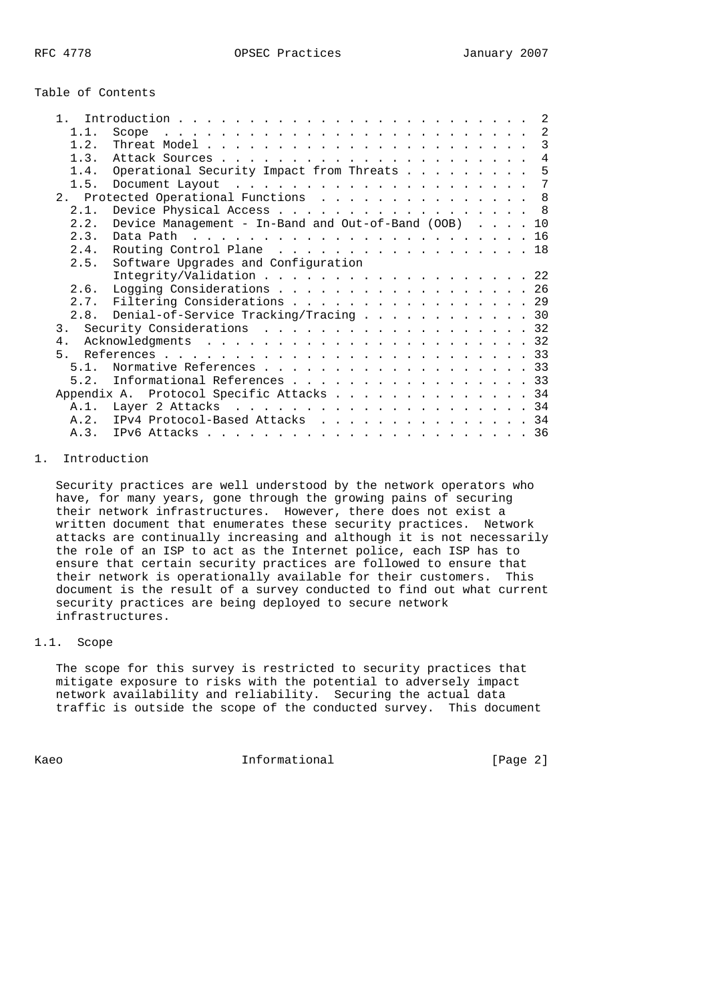## Table of Contents

| $\mathbf{1}$   |                                                      |
|----------------|------------------------------------------------------|
| 1.1.           | 2<br>Scope                                           |
| 1.2.           |                                                      |
| 1.3.           | $\overline{4}$                                       |
| 1.4.           | Operational Security Impact from Threats 5           |
| 1.5.           | 7                                                    |
|                | 2. Protected Operational Functions 8                 |
| 2.1.           | Device Physical Access 8                             |
| 2.2.           | Device Management - In-Band and Out-of-Band (OOB) 10 |
| 2.3.           |                                                      |
| 2.4.           | Routing Control Plane 18                             |
| 2.5.           | Software Upgrades and Configuration                  |
|                | Integrity/Validation 22                              |
| 2.6.           | Logging Considerations 26                            |
|                | 2.7. Filtering Considerations 29                     |
|                | 2.8. Denial-of-Service Tracking/Tracing 30           |
| 3 <sub>1</sub> | Security Considerations 32                           |
| $4$ .          |                                                      |
| $5 -$          |                                                      |
| 5 1            | Normative References 33                              |
| 5.2.           | Informational References 33                          |
|                | Appendix A. Protocol Specific Attacks 34             |
|                |                                                      |
|                | A.2. IPv4 Protocol-Based Attacks 34                  |
|                |                                                      |

## 1. Introduction

 Security practices are well understood by the network operators who have, for many years, gone through the growing pains of securing their network infrastructures. However, there does not exist a written document that enumerates these security practices. Network attacks are continually increasing and although it is not necessarily the role of an ISP to act as the Internet police, each ISP has to ensure that certain security practices are followed to ensure that their network is operationally available for their customers. This document is the result of a survey conducted to find out what current security practices are being deployed to secure network infrastructures.

## 1.1. Scope

 The scope for this survey is restricted to security practices that mitigate exposure to risks with the potential to adversely impact network availability and reliability. Securing the actual data traffic is outside the scope of the conducted survey. This document

Kaeo **Informational** Informational [Page 2]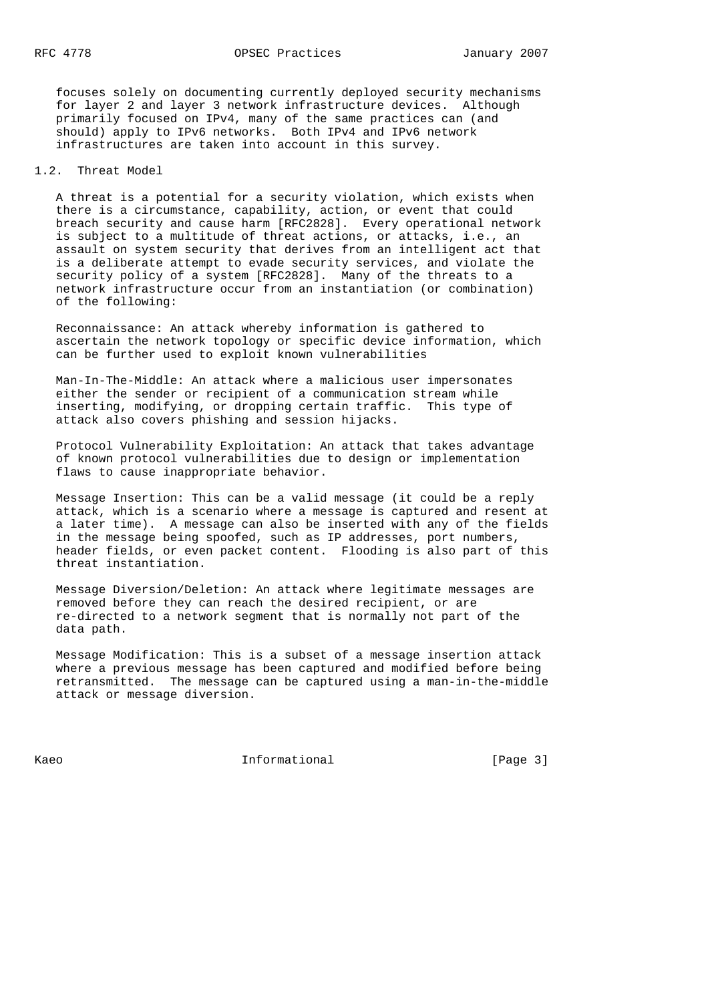focuses solely on documenting currently deployed security mechanisms for layer 2 and layer 3 network infrastructure devices. Although primarily focused on IPv4, many of the same practices can (and should) apply to IPv6 networks. Both IPv4 and IPv6 network infrastructures are taken into account in this survey.

#### 1.2. Threat Model

 A threat is a potential for a security violation, which exists when there is a circumstance, capability, action, or event that could breach security and cause harm [RFC2828]. Every operational network is subject to a multitude of threat actions, or attacks, i.e., an assault on system security that derives from an intelligent act that is a deliberate attempt to evade security services, and violate the security policy of a system [RFC2828]. Many of the threats to a network infrastructure occur from an instantiation (or combination) of the following:

 Reconnaissance: An attack whereby information is gathered to ascertain the network topology or specific device information, which can be further used to exploit known vulnerabilities

 Man-In-The-Middle: An attack where a malicious user impersonates either the sender or recipient of a communication stream while inserting, modifying, or dropping certain traffic. This type of attack also covers phishing and session hijacks.

 Protocol Vulnerability Exploitation: An attack that takes advantage of known protocol vulnerabilities due to design or implementation flaws to cause inappropriate behavior.

 Message Insertion: This can be a valid message (it could be a reply attack, which is a scenario where a message is captured and resent at a later time). A message can also be inserted with any of the fields in the message being spoofed, such as IP addresses, port numbers, header fields, or even packet content. Flooding is also part of this threat instantiation.

 Message Diversion/Deletion: An attack where legitimate messages are removed before they can reach the desired recipient, or are re-directed to a network segment that is normally not part of the data path.

 Message Modification: This is a subset of a message insertion attack where a previous message has been captured and modified before being retransmitted. The message can be captured using a man-in-the-middle attack or message diversion.

Kaeo **Informational** Informational [Page 3]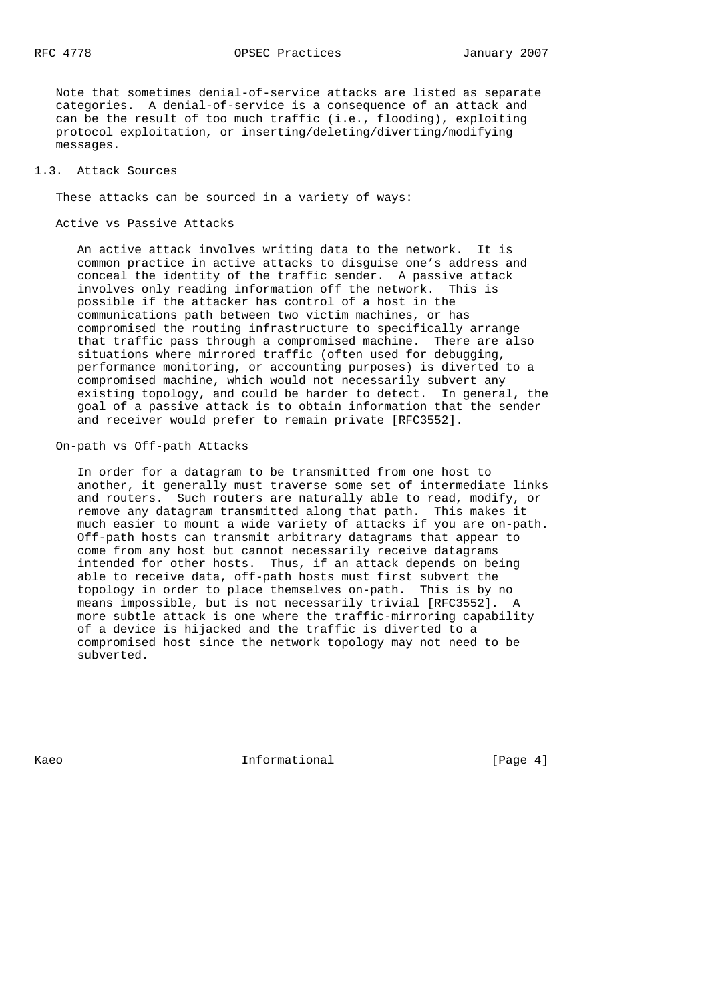Note that sometimes denial-of-service attacks are listed as separate categories. A denial-of-service is a consequence of an attack and can be the result of too much traffic (i.e., flooding), exploiting protocol exploitation, or inserting/deleting/diverting/modifying messages.

## 1.3. Attack Sources

These attacks can be sourced in a variety of ways:

Active vs Passive Attacks

 An active attack involves writing data to the network. It is common practice in active attacks to disguise one's address and conceal the identity of the traffic sender. A passive attack involves only reading information off the network. This is possible if the attacker has control of a host in the communications path between two victim machines, or has compromised the routing infrastructure to specifically arrange that traffic pass through a compromised machine. There are also situations where mirrored traffic (often used for debugging, performance monitoring, or accounting purposes) is diverted to a compromised machine, which would not necessarily subvert any existing topology, and could be harder to detect. In general, the goal of a passive attack is to obtain information that the sender and receiver would prefer to remain private [RFC3552].

## On-path vs Off-path Attacks

 In order for a datagram to be transmitted from one host to another, it generally must traverse some set of intermediate links and routers. Such routers are naturally able to read, modify, or remove any datagram transmitted along that path. This makes it much easier to mount a wide variety of attacks if you are on-path. Off-path hosts can transmit arbitrary datagrams that appear to come from any host but cannot necessarily receive datagrams intended for other hosts. Thus, if an attack depends on being able to receive data, off-path hosts must first subvert the topology in order to place themselves on-path. This is by no means impossible, but is not necessarily trivial [RFC3552]. A more subtle attack is one where the traffic-mirroring capability of a device is hijacked and the traffic is diverted to a compromised host since the network topology may not need to be subverted.

Kaeo **Informational** Informational [Page 4]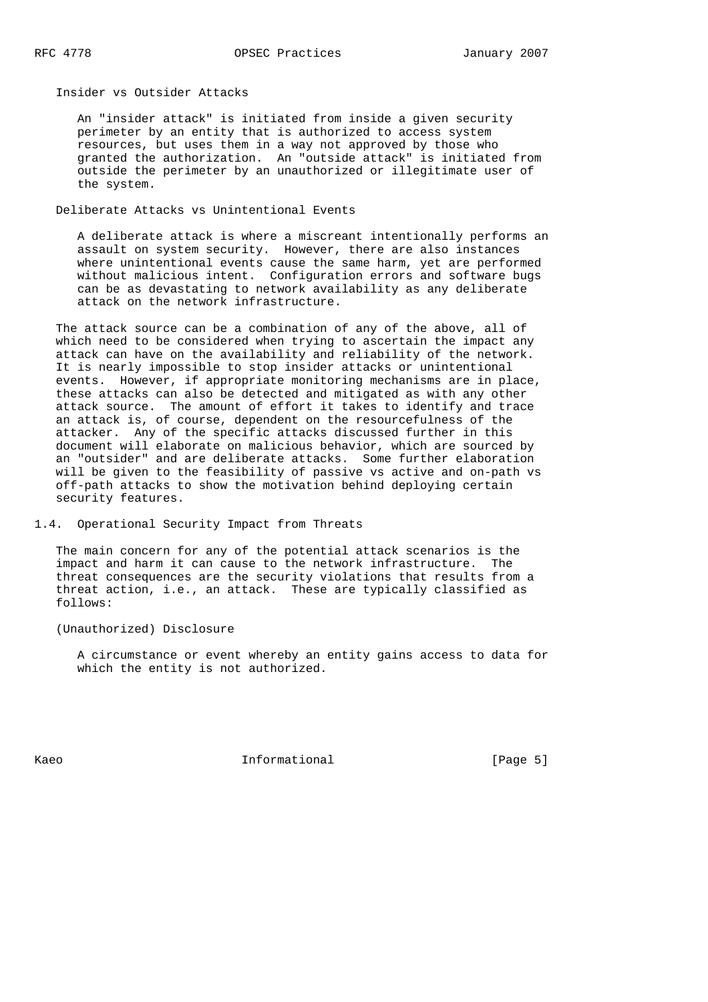Insider vs Outsider Attacks

 An "insider attack" is initiated from inside a given security perimeter by an entity that is authorized to access system resources, but uses them in a way not approved by those who granted the authorization. An "outside attack" is initiated from outside the perimeter by an unauthorized or illegitimate user of the system.

Deliberate Attacks vs Unintentional Events

 A deliberate attack is where a miscreant intentionally performs an assault on system security. However, there are also instances where unintentional events cause the same harm, yet are performed without malicious intent. Configuration errors and software bugs can be as devastating to network availability as any deliberate attack on the network infrastructure.

 The attack source can be a combination of any of the above, all of which need to be considered when trying to ascertain the impact any attack can have on the availability and reliability of the network. It is nearly impossible to stop insider attacks or unintentional events. However, if appropriate monitoring mechanisms are in place, these attacks can also be detected and mitigated as with any other attack source. The amount of effort it takes to identify and trace an attack is, of course, dependent on the resourcefulness of the attacker. Any of the specific attacks discussed further in this document will elaborate on malicious behavior, which are sourced by an "outsider" and are deliberate attacks. Some further elaboration will be given to the feasibility of passive vs active and on-path vs off-path attacks to show the motivation behind deploying certain security features.

1.4. Operational Security Impact from Threats

 The main concern for any of the potential attack scenarios is the impact and harm it can cause to the network infrastructure. The threat consequences are the security violations that results from a threat action, i.e., an attack. These are typically classified as follows:

(Unauthorized) Disclosure

 A circumstance or event whereby an entity gains access to data for which the entity is not authorized.

Kaeo **Informational** Informational [Page 5]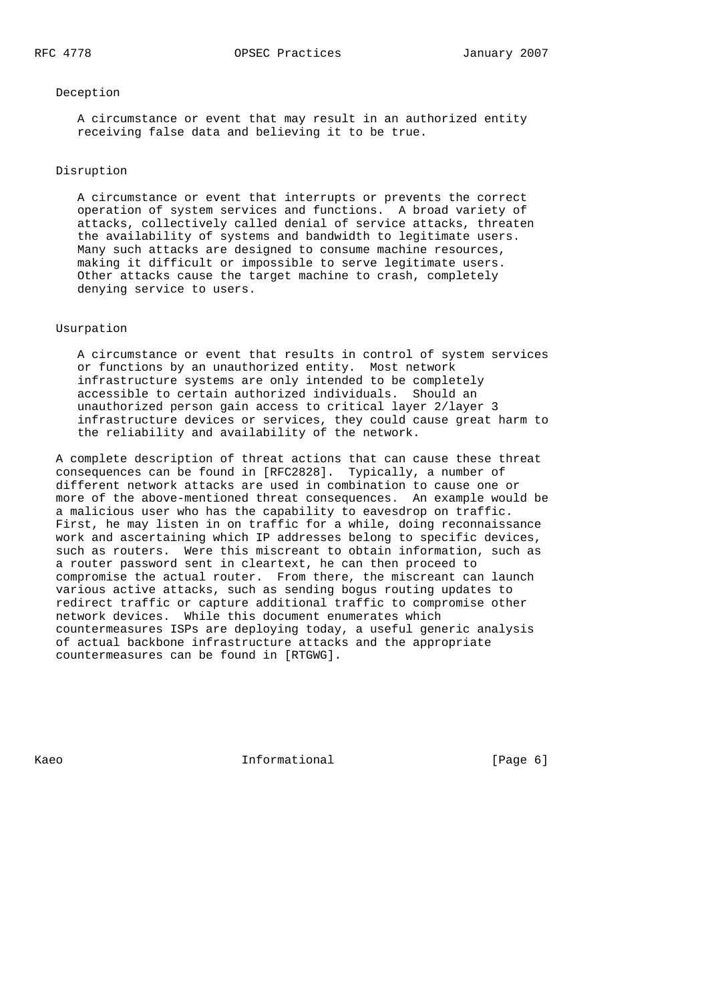#### Deception

 A circumstance or event that may result in an authorized entity receiving false data and believing it to be true.

## Disruption

 A circumstance or event that interrupts or prevents the correct operation of system services and functions. A broad variety of attacks, collectively called denial of service attacks, threaten the availability of systems and bandwidth to legitimate users. Many such attacks are designed to consume machine resources, making it difficult or impossible to serve legitimate users. Other attacks cause the target machine to crash, completely denying service to users.

## Usurpation

 A circumstance or event that results in control of system services or functions by an unauthorized entity. Most network infrastructure systems are only intended to be completely accessible to certain authorized individuals. Should an unauthorized person gain access to critical layer 2/layer 3 infrastructure devices or services, they could cause great harm to the reliability and availability of the network.

 A complete description of threat actions that can cause these threat consequences can be found in [RFC2828]. Typically, a number of different network attacks are used in combination to cause one or more of the above-mentioned threat consequences. An example would be a malicious user who has the capability to eavesdrop on traffic. First, he may listen in on traffic for a while, doing reconnaissance work and ascertaining which IP addresses belong to specific devices, such as routers. Were this miscreant to obtain information, such as a router password sent in cleartext, he can then proceed to compromise the actual router. From there, the miscreant can launch various active attacks, such as sending bogus routing updates to redirect traffic or capture additional traffic to compromise other network devices. While this document enumerates which countermeasures ISPs are deploying today, a useful generic analysis of actual backbone infrastructure attacks and the appropriate countermeasures can be found in [RTGWG].

Kaeo **Informational** Informational [Page 6]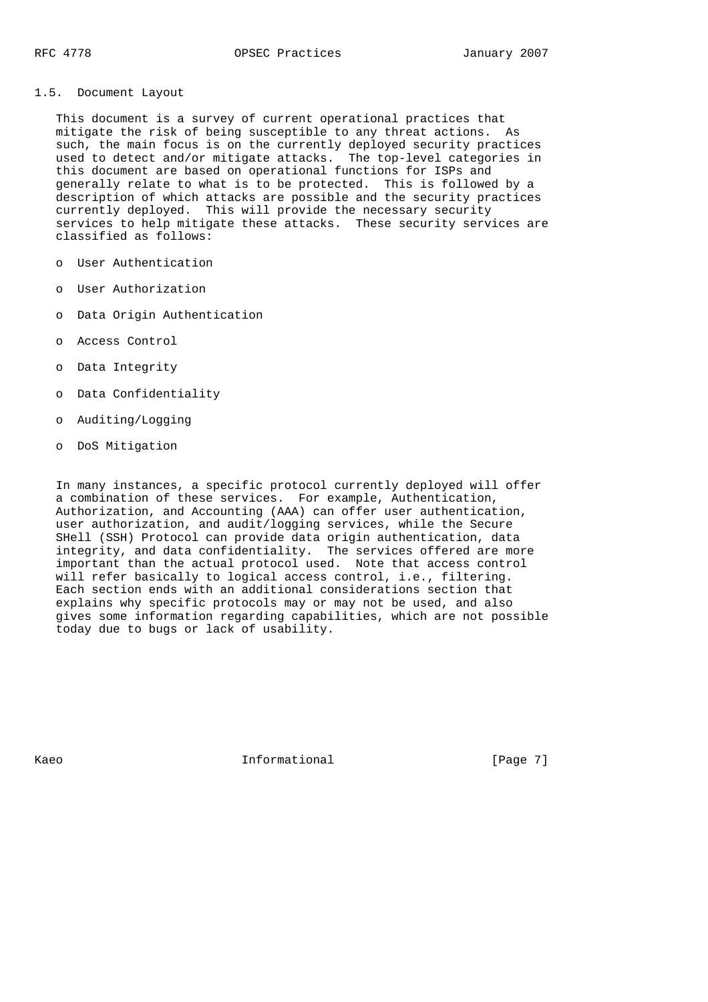## 1.5. Document Layout

 This document is a survey of current operational practices that mitigate the risk of being susceptible to any threat actions. As such, the main focus is on the currently deployed security practices used to detect and/or mitigate attacks. The top-level categories in this document are based on operational functions for ISPs and generally relate to what is to be protected. This is followed by a description of which attacks are possible and the security practices currently deployed. This will provide the necessary security services to help mitigate these attacks. These security services are classified as follows:

- o User Authentication
- o User Authorization
- o Data Origin Authentication
- o Access Control
- o Data Integrity
- o Data Confidentiality
- o Auditing/Logging
- o DoS Mitigation

 In many instances, a specific protocol currently deployed will offer a combination of these services. For example, Authentication, Authorization, and Accounting (AAA) can offer user authentication, user authorization, and audit/logging services, while the Secure SHell (SSH) Protocol can provide data origin authentication, data integrity, and data confidentiality. The services offered are more important than the actual protocol used. Note that access control will refer basically to logical access control, i.e., filtering. Each section ends with an additional considerations section that explains why specific protocols may or may not be used, and also gives some information regarding capabilities, which are not possible today due to bugs or lack of usability.

Kaeo **Informational** Informational [Page 7]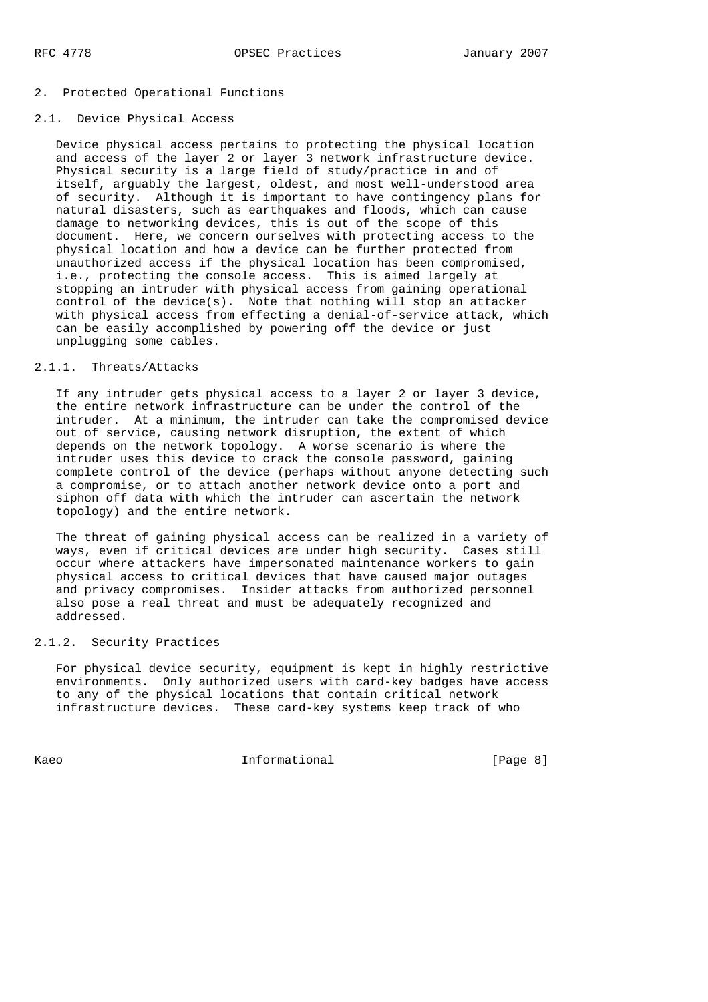## 2. Protected Operational Functions

## 2.1. Device Physical Access

 Device physical access pertains to protecting the physical location and access of the layer 2 or layer 3 network infrastructure device. Physical security is a large field of study/practice in and of itself, arguably the largest, oldest, and most well-understood area of security. Although it is important to have contingency plans for natural disasters, such as earthquakes and floods, which can cause damage to networking devices, this is out of the scope of this document. Here, we concern ourselves with protecting access to the physical location and how a device can be further protected from unauthorized access if the physical location has been compromised, i.e., protecting the console access. This is aimed largely at stopping an intruder with physical access from gaining operational control of the device(s). Note that nothing will stop an attacker with physical access from effecting a denial-of-service attack, which can be easily accomplished by powering off the device or just unplugging some cables.

## 2.1.1. Threats/Attacks

 If any intruder gets physical access to a layer 2 or layer 3 device, the entire network infrastructure can be under the control of the intruder. At a minimum, the intruder can take the compromised device out of service, causing network disruption, the extent of which depends on the network topology. A worse scenario is where the intruder uses this device to crack the console password, gaining complete control of the device (perhaps without anyone detecting such a compromise, or to attach another network device onto a port and siphon off data with which the intruder can ascertain the network topology) and the entire network.

 The threat of gaining physical access can be realized in a variety of ways, even if critical devices are under high security. Cases still occur where attackers have impersonated maintenance workers to gain physical access to critical devices that have caused major outages and privacy compromises. Insider attacks from authorized personnel also pose a real threat and must be adequately recognized and addressed.

## 2.1.2. Security Practices

 For physical device security, equipment is kept in highly restrictive environments. Only authorized users with card-key badges have access to any of the physical locations that contain critical network infrastructure devices. These card-key systems keep track of who

Kaeo **Informational** Informational (Page 8)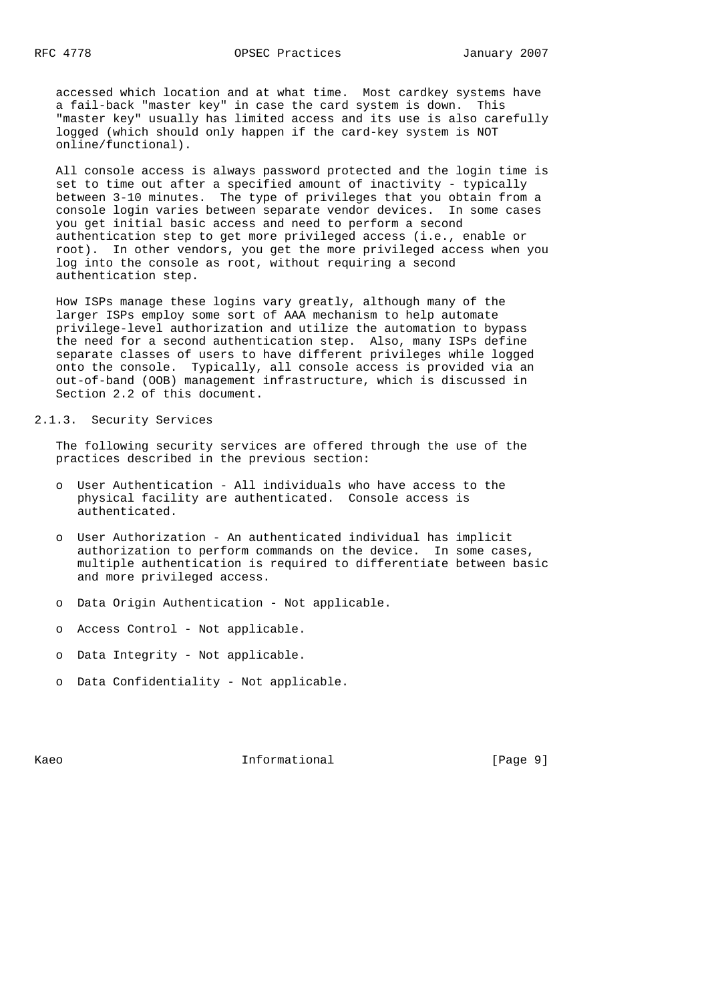accessed which location and at what time. Most cardkey systems have a fail-back "master key" in case the card system is down. This "master key" usually has limited access and its use is also carefully logged (which should only happen if the card-key system is NOT online/functional).

 All console access is always password protected and the login time is set to time out after a specified amount of inactivity - typically between 3-10 minutes. The type of privileges that you obtain from a console login varies between separate vendor devices. In some cases you get initial basic access and need to perform a second authentication step to get more privileged access (i.e., enable or root). In other vendors, you get the more privileged access when you log into the console as root, without requiring a second authentication step.

 How ISPs manage these logins vary greatly, although many of the larger ISPs employ some sort of AAA mechanism to help automate privilege-level authorization and utilize the automation to bypass the need for a second authentication step. Also, many ISPs define separate classes of users to have different privileges while logged onto the console. Typically, all console access is provided via an out-of-band (OOB) management infrastructure, which is discussed in Section 2.2 of this document.

# 2.1.3. Security Services

 The following security services are offered through the use of the practices described in the previous section:

- o User Authentication All individuals who have access to the physical facility are authenticated. Console access is authenticated.
- o User Authorization An authenticated individual has implicit authorization to perform commands on the device. In some cases, multiple authentication is required to differentiate between basic and more privileged access.
- o Data Origin Authentication Not applicable.
- o Access Control Not applicable.
- o Data Integrity Not applicable.
- o Data Confidentiality Not applicable.

Kaeo **Informational** Informational [Page 9]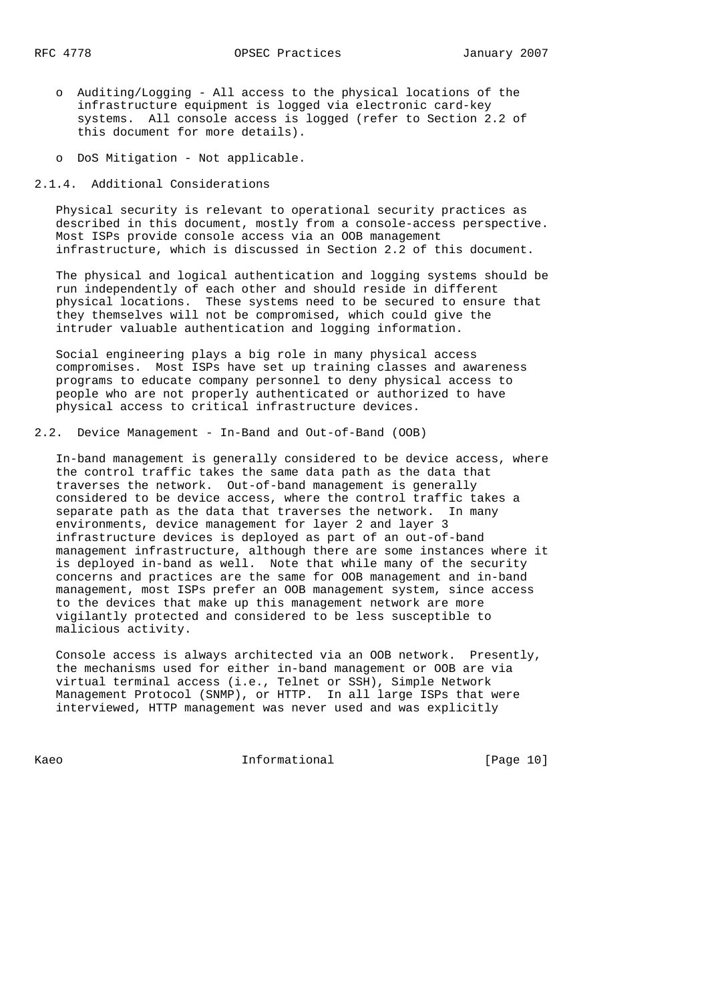- o Auditing/Logging All access to the physical locations of the infrastructure equipment is logged via electronic card-key systems. All console access is logged (refer to Section 2.2 of this document for more details).
- o DoS Mitigation Not applicable.

2.1.4. Additional Considerations

 Physical security is relevant to operational security practices as described in this document, mostly from a console-access perspective. Most ISPs provide console access via an OOB management infrastructure, which is discussed in Section 2.2 of this document.

 The physical and logical authentication and logging systems should be run independently of each other and should reside in different physical locations. These systems need to be secured to ensure that they themselves will not be compromised, which could give the intruder valuable authentication and logging information.

 Social engineering plays a big role in many physical access compromises. Most ISPs have set up training classes and awareness programs to educate company personnel to deny physical access to people who are not properly authenticated or authorized to have physical access to critical infrastructure devices.

2.2. Device Management - In-Band and Out-of-Band (OOB)

 In-band management is generally considered to be device access, where the control traffic takes the same data path as the data that traverses the network. Out-of-band management is generally considered to be device access, where the control traffic takes a separate path as the data that traverses the network. In many environments, device management for layer 2 and layer 3 infrastructure devices is deployed as part of an out-of-band management infrastructure, although there are some instances where it is deployed in-band as well. Note that while many of the security concerns and practices are the same for OOB management and in-band management, most ISPs prefer an OOB management system, since access to the devices that make up this management network are more vigilantly protected and considered to be less susceptible to malicious activity.

 Console access is always architected via an OOB network. Presently, the mechanisms used for either in-band management or OOB are via virtual terminal access (i.e., Telnet or SSH), Simple Network Management Protocol (SNMP), or HTTP. In all large ISPs that were interviewed, HTTP management was never used and was explicitly

Kaeo **Informational Informational** [Page 10]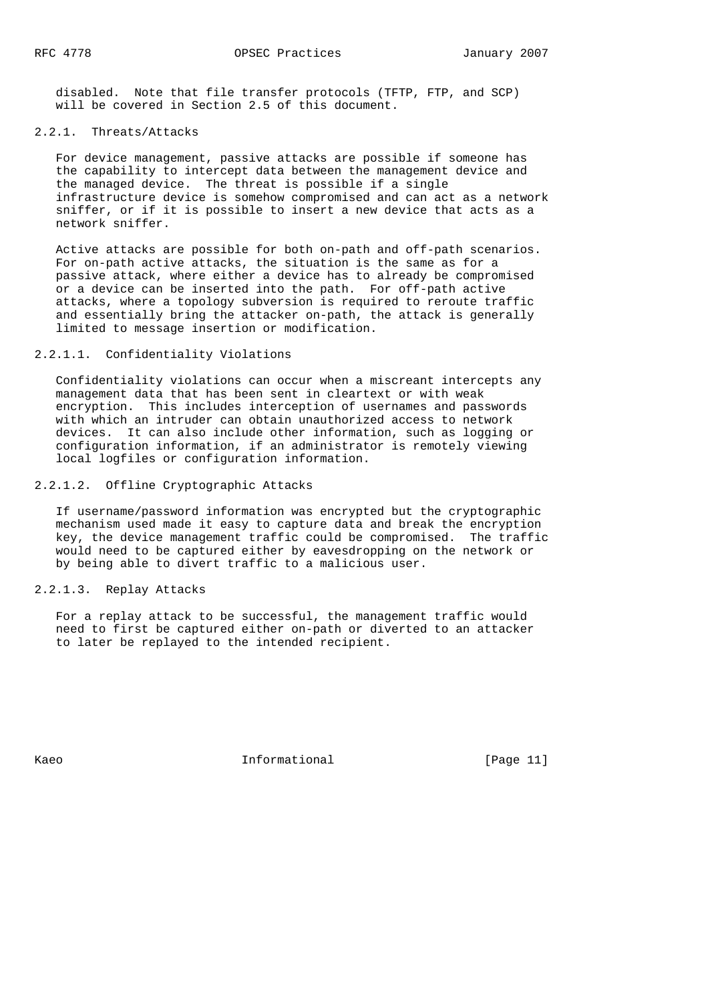disabled. Note that file transfer protocols (TFTP, FTP, and SCP) will be covered in Section 2.5 of this document.

#### 2.2.1. Threats/Attacks

 For device management, passive attacks are possible if someone has the capability to intercept data between the management device and the managed device. The threat is possible if a single infrastructure device is somehow compromised and can act as a network sniffer, or if it is possible to insert a new device that acts as a network sniffer.

 Active attacks are possible for both on-path and off-path scenarios. For on-path active attacks, the situation is the same as for a passive attack, where either a device has to already be compromised or a device can be inserted into the path. For off-path active attacks, where a topology subversion is required to reroute traffic and essentially bring the attacker on-path, the attack is generally limited to message insertion or modification.

## 2.2.1.1. Confidentiality Violations

 Confidentiality violations can occur when a miscreant intercepts any management data that has been sent in cleartext or with weak encryption. This includes interception of usernames and passwords with which an intruder can obtain unauthorized access to network devices. It can also include other information, such as logging or configuration information, if an administrator is remotely viewing local logfiles or configuration information.

2.2.1.2. Offline Cryptographic Attacks

 If username/password information was encrypted but the cryptographic mechanism used made it easy to capture data and break the encryption key, the device management traffic could be compromised. The traffic would need to be captured either by eavesdropping on the network or by being able to divert traffic to a malicious user.

## 2.2.1.3. Replay Attacks

 For a replay attack to be successful, the management traffic would need to first be captured either on-path or diverted to an attacker to later be replayed to the intended recipient.

Kaeo **Informational Informational** [Page 11]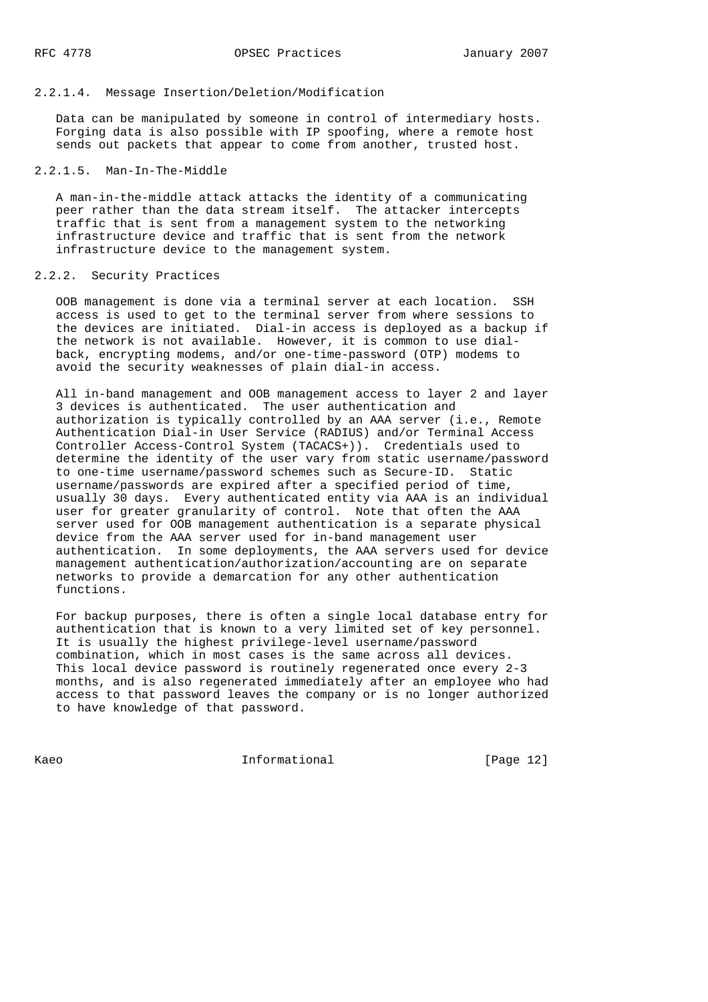## 2.2.1.4. Message Insertion/Deletion/Modification

 Data can be manipulated by someone in control of intermediary hosts. Forging data is also possible with IP spoofing, where a remote host sends out packets that appear to come from another, trusted host.

### 2.2.1.5. Man-In-The-Middle

 A man-in-the-middle attack attacks the identity of a communicating peer rather than the data stream itself. The attacker intercepts traffic that is sent from a management system to the networking infrastructure device and traffic that is sent from the network infrastructure device to the management system.

## 2.2.2. Security Practices

 OOB management is done via a terminal server at each location. SSH access is used to get to the terminal server from where sessions to the devices are initiated. Dial-in access is deployed as a backup if the network is not available. However, it is common to use dial back, encrypting modems, and/or one-time-password (OTP) modems to avoid the security weaknesses of plain dial-in access.

 All in-band management and OOB management access to layer 2 and layer 3 devices is authenticated. The user authentication and authorization is typically controlled by an AAA server (i.e., Remote Authentication Dial-in User Service (RADIUS) and/or Terminal Access Controller Access-Control System (TACACS+)). Credentials used to determine the identity of the user vary from static username/password to one-time username/password schemes such as Secure-ID. Static username/passwords are expired after a specified period of time, usually 30 days. Every authenticated entity via AAA is an individual user for greater granularity of control. Note that often the AAA server used for OOB management authentication is a separate physical device from the AAA server used for in-band management user authentication. In some deployments, the AAA servers used for device management authentication/authorization/accounting are on separate networks to provide a demarcation for any other authentication functions.

 For backup purposes, there is often a single local database entry for authentication that is known to a very limited set of key personnel. It is usually the highest privilege-level username/password combination, which in most cases is the same across all devices. This local device password is routinely regenerated once every 2-3 months, and is also regenerated immediately after an employee who had access to that password leaves the company or is no longer authorized to have knowledge of that password.

Kaeo **Informational Informational** [Page 12]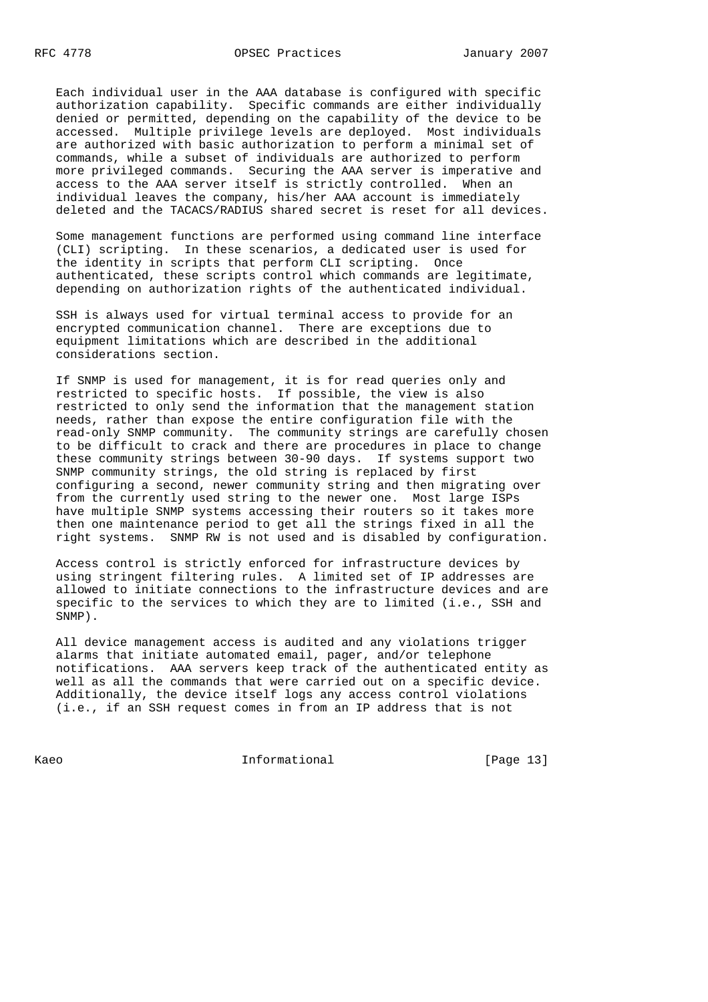Each individual user in the AAA database is configured with specific authorization capability. Specific commands are either individually denied or permitted, depending on the capability of the device to be accessed. Multiple privilege levels are deployed. Most individuals are authorized with basic authorization to perform a minimal set of commands, while a subset of individuals are authorized to perform more privileged commands. Securing the AAA server is imperative and access to the AAA server itself is strictly controlled. When an individual leaves the company, his/her AAA account is immediately deleted and the TACACS/RADIUS shared secret is reset for all devices.

 Some management functions are performed using command line interface (CLI) scripting. In these scenarios, a dedicated user is used for the identity in scripts that perform CLI scripting. Once authenticated, these scripts control which commands are legitimate, depending on authorization rights of the authenticated individual.

 SSH is always used for virtual terminal access to provide for an encrypted communication channel. There are exceptions due to equipment limitations which are described in the additional considerations section.

 If SNMP is used for management, it is for read queries only and restricted to specific hosts. If possible, the view is also restricted to only send the information that the management station needs, rather than expose the entire configuration file with the read-only SNMP community. The community strings are carefully chosen to be difficult to crack and there are procedures in place to change these community strings between 30-90 days. If systems support two SNMP community strings, the old string is replaced by first configuring a second, newer community string and then migrating over from the currently used string to the newer one. Most large ISPs have multiple SNMP systems accessing their routers so it takes more then one maintenance period to get all the strings fixed in all the right systems. SNMP RW is not used and is disabled by configuration.

 Access control is strictly enforced for infrastructure devices by using stringent filtering rules. A limited set of IP addresses are allowed to initiate connections to the infrastructure devices and are specific to the services to which they are to limited (i.e., SSH and SNMP).

 All device management access is audited and any violations trigger alarms that initiate automated email, pager, and/or telephone notifications. AAA servers keep track of the authenticated entity as well as all the commands that were carried out on a specific device. Additionally, the device itself logs any access control violations (i.e., if an SSH request comes in from an IP address that is not

Kaeo **Informational Informational** [Page 13]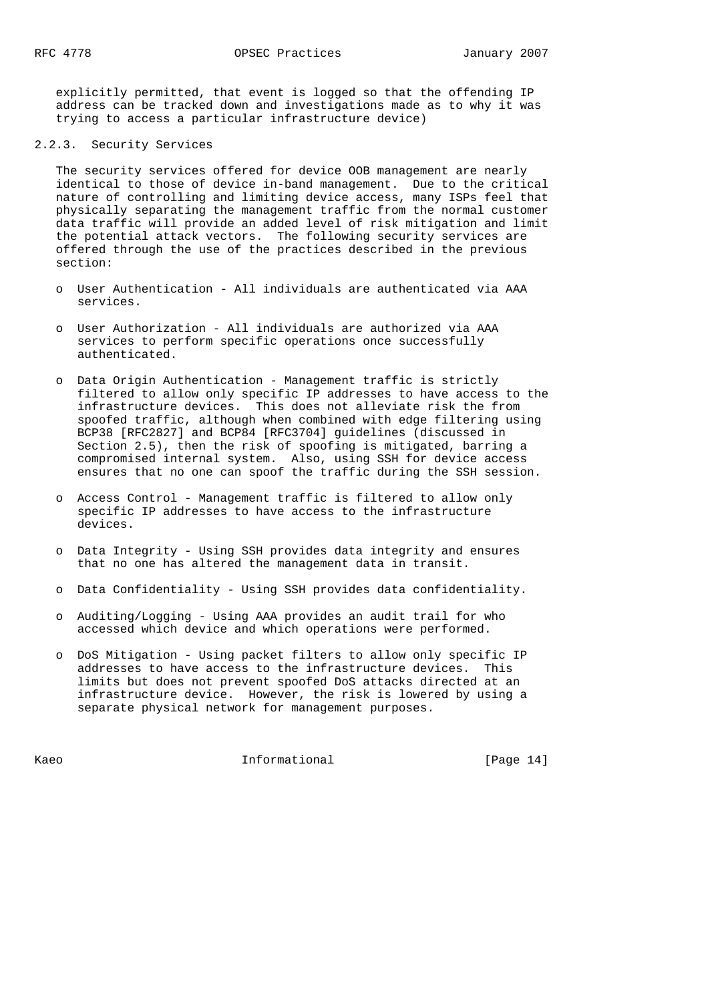explicitly permitted, that event is logged so that the offending IP address can be tracked down and investigations made as to why it was trying to access a particular infrastructure device)

# 2.2.3. Security Services

 The security services offered for device OOB management are nearly identical to those of device in-band management. Due to the critical nature of controlling and limiting device access, many ISPs feel that physically separating the management traffic from the normal customer data traffic will provide an added level of risk mitigation and limit the potential attack vectors. The following security services are offered through the use of the practices described in the previous section:

- o User Authentication All individuals are authenticated via AAA services.
- o User Authorization All individuals are authorized via AAA services to perform specific operations once successfully authenticated.
- o Data Origin Authentication Management traffic is strictly filtered to allow only specific IP addresses to have access to the infrastructure devices. This does not alleviate risk the from spoofed traffic, although when combined with edge filtering using BCP38 [RFC2827] and BCP84 [RFC3704] guidelines (discussed in Section 2.5), then the risk of spoofing is mitigated, barring a compromised internal system. Also, using SSH for device access ensures that no one can spoof the traffic during the SSH session.
- o Access Control Management traffic is filtered to allow only specific IP addresses to have access to the infrastructure devices.
- o Data Integrity Using SSH provides data integrity and ensures that no one has altered the management data in transit.
- o Data Confidentiality Using SSH provides data confidentiality.
- o Auditing/Logging Using AAA provides an audit trail for who accessed which device and which operations were performed.
- o DoS Mitigation Using packet filters to allow only specific IP addresses to have access to the infrastructure devices. This limits but does not prevent spoofed DoS attacks directed at an infrastructure device. However, the risk is lowered by using a separate physical network for management purposes.

Kaeo **Informational Informational** [Page 14]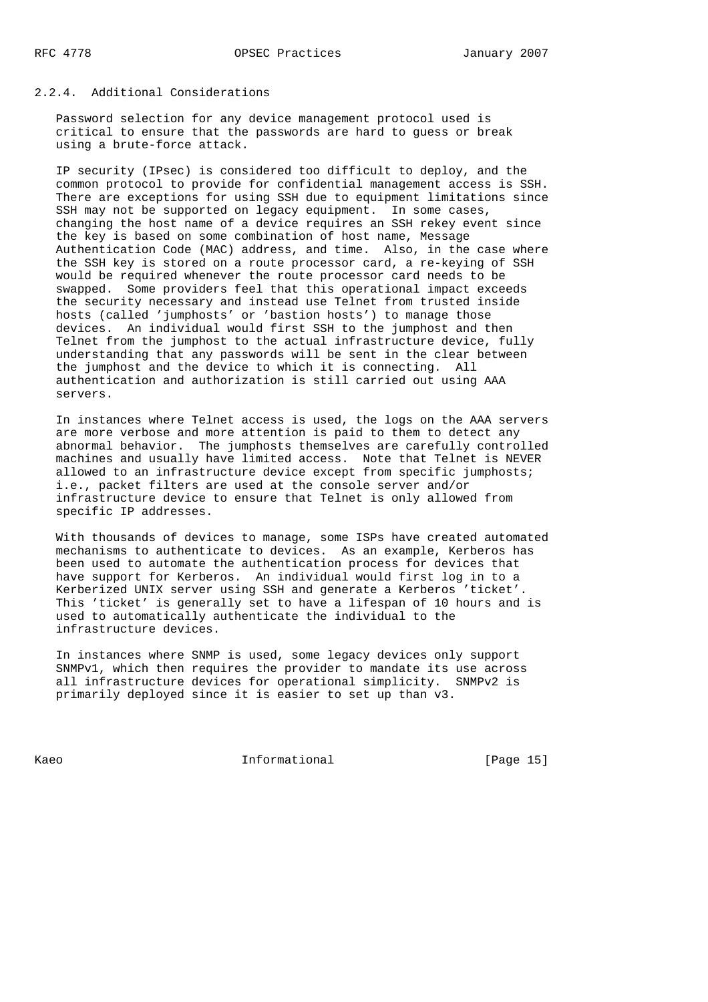## 2.2.4. Additional Considerations

 Password selection for any device management protocol used is critical to ensure that the passwords are hard to guess or break using a brute-force attack.

 IP security (IPsec) is considered too difficult to deploy, and the common protocol to provide for confidential management access is SSH. There are exceptions for using SSH due to equipment limitations since SSH may not be supported on legacy equipment. In some cases, changing the host name of a device requires an SSH rekey event since the key is based on some combination of host name, Message Authentication Code (MAC) address, and time. Also, in the case where the SSH key is stored on a route processor card, a re-keying of SSH would be required whenever the route processor card needs to be swapped. Some providers feel that this operational impact exceeds the security necessary and instead use Telnet from trusted inside hosts (called 'jumphosts' or 'bastion hosts') to manage those devices. An individual would first SSH to the jumphost and then Telnet from the jumphost to the actual infrastructure device, fully understanding that any passwords will be sent in the clear between the jumphost and the device to which it is connecting. All authentication and authorization is still carried out using AAA servers.

 In instances where Telnet access is used, the logs on the AAA servers are more verbose and more attention is paid to them to detect any abnormal behavior. The jumphosts themselves are carefully controlled machines and usually have limited access. Note that Telnet is NEVER allowed to an infrastructure device except from specific jumphosts; i.e., packet filters are used at the console server and/or infrastructure device to ensure that Telnet is only allowed from specific IP addresses.

 With thousands of devices to manage, some ISPs have created automated mechanisms to authenticate to devices. As an example, Kerberos has been used to automate the authentication process for devices that have support for Kerberos. An individual would first log in to a Kerberized UNIX server using SSH and generate a Kerberos 'ticket'. This 'ticket' is generally set to have a lifespan of 10 hours and is used to automatically authenticate the individual to the infrastructure devices.

 In instances where SNMP is used, some legacy devices only support SNMPv1, which then requires the provider to mandate its use across all infrastructure devices for operational simplicity. SNMPv2 is primarily deployed since it is easier to set up than v3.

Kaeo **Informational** Informational [Page 15]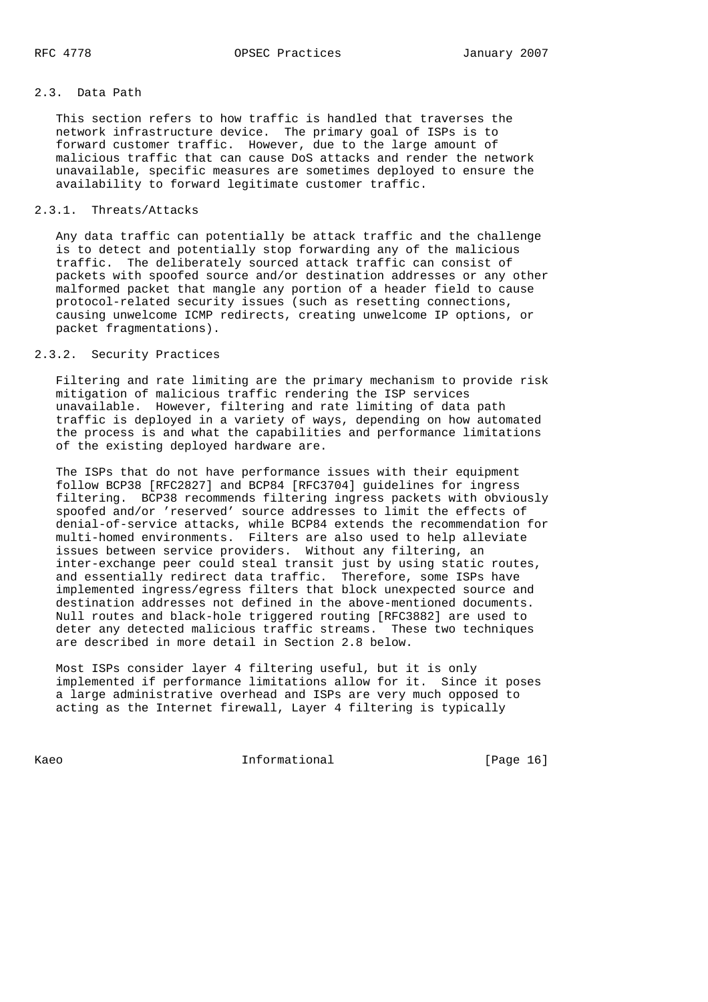## 2.3. Data Path

 This section refers to how traffic is handled that traverses the network infrastructure device. The primary goal of ISPs is to forward customer traffic. However, due to the large amount of malicious traffic that can cause DoS attacks and render the network unavailable, specific measures are sometimes deployed to ensure the availability to forward legitimate customer traffic.

## 2.3.1. Threats/Attacks

 Any data traffic can potentially be attack traffic and the challenge is to detect and potentially stop forwarding any of the malicious traffic. The deliberately sourced attack traffic can consist of packets with spoofed source and/or destination addresses or any other malformed packet that mangle any portion of a header field to cause protocol-related security issues (such as resetting connections, causing unwelcome ICMP redirects, creating unwelcome IP options, or packet fragmentations).

## 2.3.2. Security Practices

 Filtering and rate limiting are the primary mechanism to provide risk mitigation of malicious traffic rendering the ISP services unavailable. However, filtering and rate limiting of data path traffic is deployed in a variety of ways, depending on how automated the process is and what the capabilities and performance limitations of the existing deployed hardware are.

 The ISPs that do not have performance issues with their equipment follow BCP38 [RFC2827] and BCP84 [RFC3704] guidelines for ingress filtering. BCP38 recommends filtering ingress packets with obviously spoofed and/or 'reserved' source addresses to limit the effects of denial-of-service attacks, while BCP84 extends the recommendation for multi-homed environments. Filters are also used to help alleviate issues between service providers. Without any filtering, an inter-exchange peer could steal transit just by using static routes, and essentially redirect data traffic. Therefore, some ISPs have implemented ingress/egress filters that block unexpected source and destination addresses not defined in the above-mentioned documents. Null routes and black-hole triggered routing [RFC3882] are used to deter any detected malicious traffic streams. These two techniques are described in more detail in Section 2.8 below.

 Most ISPs consider layer 4 filtering useful, but it is only implemented if performance limitations allow for it. Since it poses a large administrative overhead and ISPs are very much opposed to acting as the Internet firewall, Layer 4 filtering is typically

Kaeo **Informational** Informational [Page 16]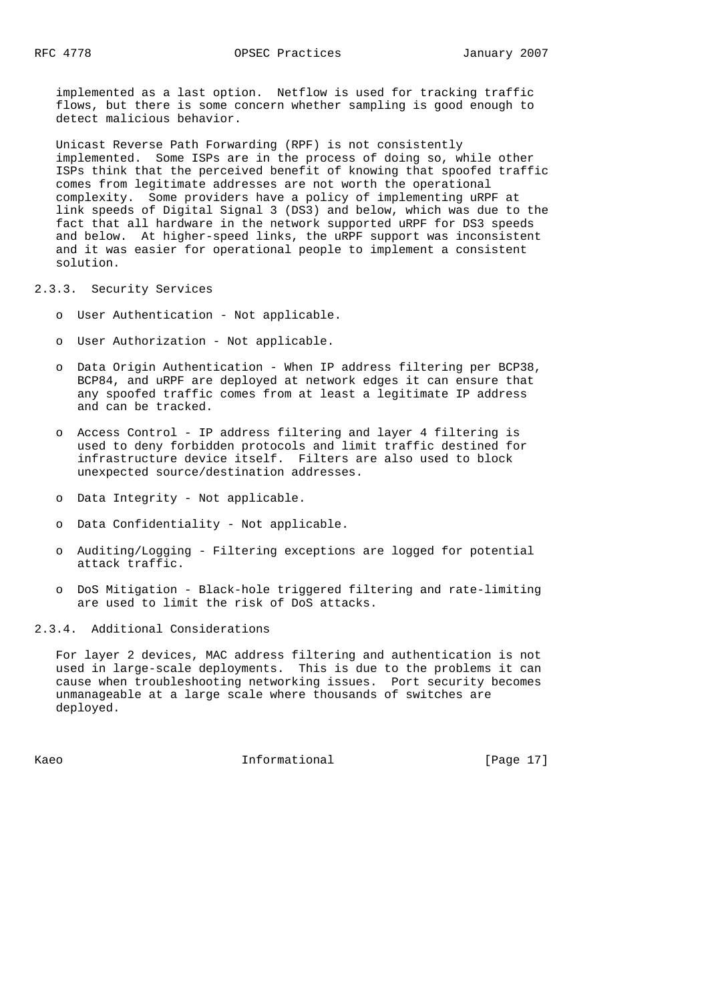implemented as a last option. Netflow is used for tracking traffic flows, but there is some concern whether sampling is good enough to detect malicious behavior.

 Unicast Reverse Path Forwarding (RPF) is not consistently implemented. Some ISPs are in the process of doing so, while other ISPs think that the perceived benefit of knowing that spoofed traffic comes from legitimate addresses are not worth the operational complexity. Some providers have a policy of implementing uRPF at link speeds of Digital Signal 3 (DS3) and below, which was due to the fact that all hardware in the network supported uRPF for DS3 speeds and below. At higher-speed links, the uRPF support was inconsistent and it was easier for operational people to implement a consistent solution.

### 2.3.3. Security Services

- o User Authentication Not applicable.
- o User Authorization Not applicable.
- o Data Origin Authentication When IP address filtering per BCP38, BCP84, and uRPF are deployed at network edges it can ensure that any spoofed traffic comes from at least a legitimate IP address and can be tracked.
- o Access Control IP address filtering and layer 4 filtering is used to deny forbidden protocols and limit traffic destined for infrastructure device itself. Filters are also used to block unexpected source/destination addresses.
- o Data Integrity Not applicable.
- o Data Confidentiality Not applicable.
- o Auditing/Logging Filtering exceptions are logged for potential attack traffic.
- o DoS Mitigation Black-hole triggered filtering and rate-limiting are used to limit the risk of DoS attacks.

2.3.4. Additional Considerations

 For layer 2 devices, MAC address filtering and authentication is not used in large-scale deployments. This is due to the problems it can cause when troubleshooting networking issues. Port security becomes unmanageable at a large scale where thousands of switches are deployed.

Kaeo **Informational Informational** [Page 17]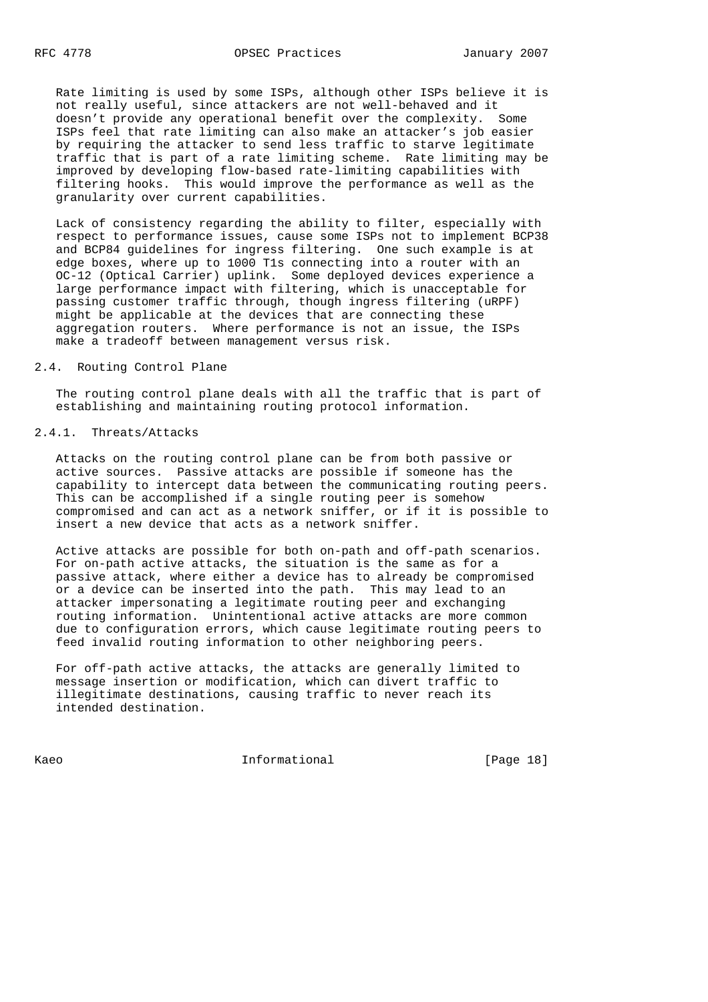Rate limiting is used by some ISPs, although other ISPs believe it is not really useful, since attackers are not well-behaved and it doesn't provide any operational benefit over the complexity. Some ISPs feel that rate limiting can also make an attacker's job easier by requiring the attacker to send less traffic to starve legitimate traffic that is part of a rate limiting scheme. Rate limiting may be improved by developing flow-based rate-limiting capabilities with filtering hooks. This would improve the performance as well as the granularity over current capabilities.

 Lack of consistency regarding the ability to filter, especially with respect to performance issues, cause some ISPs not to implement BCP38 and BCP84 guidelines for ingress filtering. One such example is at edge boxes, where up to 1000 T1s connecting into a router with an OC-12 (Optical Carrier) uplink. Some deployed devices experience a large performance impact with filtering, which is unacceptable for passing customer traffic through, though ingress filtering (uRPF) might be applicable at the devices that are connecting these aggregation routers. Where performance is not an issue, the ISPs make a tradeoff between management versus risk.

#### 2.4. Routing Control Plane

 The routing control plane deals with all the traffic that is part of establishing and maintaining routing protocol information.

# 2.4.1. Threats/Attacks

 Attacks on the routing control plane can be from both passive or active sources. Passive attacks are possible if someone has the capability to intercept data between the communicating routing peers. This can be accomplished if a single routing peer is somehow compromised and can act as a network sniffer, or if it is possible to insert a new device that acts as a network sniffer.

 Active attacks are possible for both on-path and off-path scenarios. For on-path active attacks, the situation is the same as for a passive attack, where either a device has to already be compromised or a device can be inserted into the path. This may lead to an attacker impersonating a legitimate routing peer and exchanging routing information. Unintentional active attacks are more common due to configuration errors, which cause legitimate routing peers to feed invalid routing information to other neighboring peers.

 For off-path active attacks, the attacks are generally limited to message insertion or modification, which can divert traffic to illegitimate destinations, causing traffic to never reach its intended destination.

Kaeo **Informational Informational** [Page 18]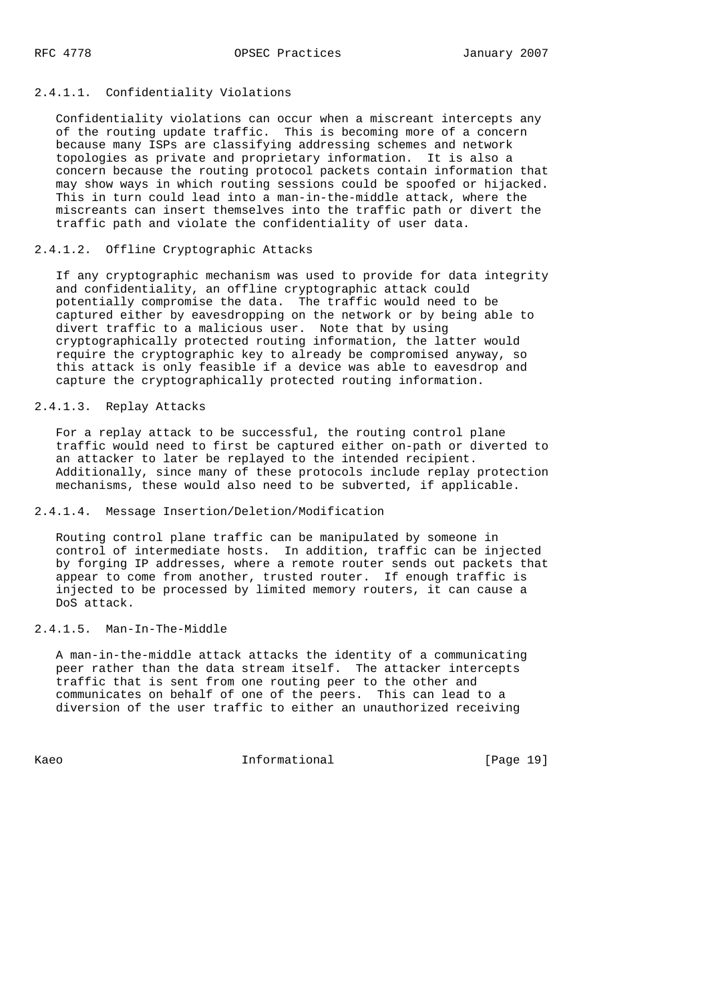## 2.4.1.1. Confidentiality Violations

 Confidentiality violations can occur when a miscreant intercepts any of the routing update traffic. This is becoming more of a concern because many ISPs are classifying addressing schemes and network topologies as private and proprietary information. It is also a concern because the routing protocol packets contain information that may show ways in which routing sessions could be spoofed or hijacked. This in turn could lead into a man-in-the-middle attack, where the miscreants can insert themselves into the traffic path or divert the traffic path and violate the confidentiality of user data.

### 2.4.1.2. Offline Cryptographic Attacks

 If any cryptographic mechanism was used to provide for data integrity and confidentiality, an offline cryptographic attack could potentially compromise the data. The traffic would need to be captured either by eavesdropping on the network or by being able to divert traffic to a malicious user. Note that by using cryptographically protected routing information, the latter would require the cryptographic key to already be compromised anyway, so this attack is only feasible if a device was able to eavesdrop and capture the cryptographically protected routing information.

### 2.4.1.3. Replay Attacks

 For a replay attack to be successful, the routing control plane traffic would need to first be captured either on-path or diverted to an attacker to later be replayed to the intended recipient. Additionally, since many of these protocols include replay protection mechanisms, these would also need to be subverted, if applicable.

## 2.4.1.4. Message Insertion/Deletion/Modification

 Routing control plane traffic can be manipulated by someone in control of intermediate hosts. In addition, traffic can be injected by forging IP addresses, where a remote router sends out packets that appear to come from another, trusted router. If enough traffic is injected to be processed by limited memory routers, it can cause a DoS attack.

## 2.4.1.5. Man-In-The-Middle

 A man-in-the-middle attack attacks the identity of a communicating peer rather than the data stream itself. The attacker intercepts traffic that is sent from one routing peer to the other and communicates on behalf of one of the peers. This can lead to a diversion of the user traffic to either an unauthorized receiving

Kaeo **Informational** Informational [Page 19]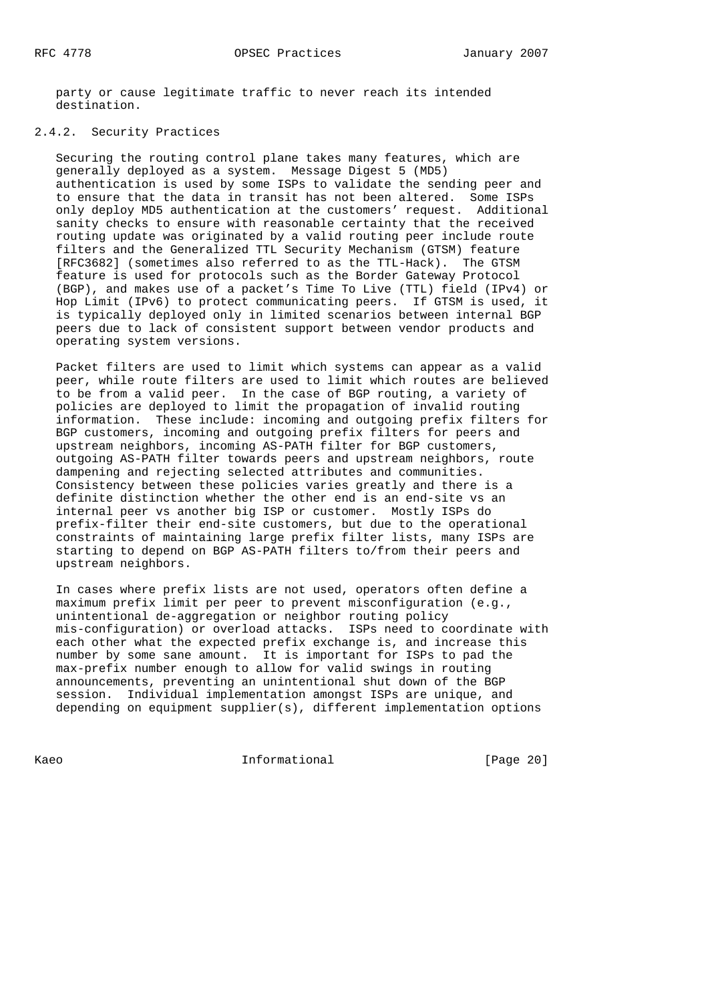party or cause legitimate traffic to never reach its intended destination.

## 2.4.2. Security Practices

 Securing the routing control plane takes many features, which are generally deployed as a system. Message Digest 5 (MD5) authentication is used by some ISPs to validate the sending peer and to ensure that the data in transit has not been altered. Some ISPs only deploy MD5 authentication at the customers' request. Additional sanity checks to ensure with reasonable certainty that the received routing update was originated by a valid routing peer include route filters and the Generalized TTL Security Mechanism (GTSM) feature [RFC3682] (sometimes also referred to as the TTL-Hack). The GTSM feature is used for protocols such as the Border Gateway Protocol (BGP), and makes use of a packet's Time To Live (TTL) field (IPv4) or Hop Limit (IPv6) to protect communicating peers. If GTSM is used, it is typically deployed only in limited scenarios between internal BGP peers due to lack of consistent support between vendor products and operating system versions.

 Packet filters are used to limit which systems can appear as a valid peer, while route filters are used to limit which routes are believed to be from a valid peer. In the case of BGP routing, a variety of policies are deployed to limit the propagation of invalid routing information. These include: incoming and outgoing prefix filters for BGP customers, incoming and outgoing prefix filters for peers and upstream neighbors, incoming AS-PATH filter for BGP customers, outgoing AS-PATH filter towards peers and upstream neighbors, route dampening and rejecting selected attributes and communities. Consistency between these policies varies greatly and there is a definite distinction whether the other end is an end-site vs an internal peer vs another big ISP or customer. Mostly ISPs do prefix-filter their end-site customers, but due to the operational constraints of maintaining large prefix filter lists, many ISPs are starting to depend on BGP AS-PATH filters to/from their peers and upstream neighbors.

 In cases where prefix lists are not used, operators often define a maximum prefix limit per peer to prevent misconfiguration (e.g., unintentional de-aggregation or neighbor routing policy mis-configuration) or overload attacks. ISPs need to coordinate with each other what the expected prefix exchange is, and increase this number by some sane amount. It is important for ISPs to pad the max-prefix number enough to allow for valid swings in routing announcements, preventing an unintentional shut down of the BGP session. Individual implementation amongst ISPs are unique, and depending on equipment supplier(s), different implementation options

Kaeo **Informational Informational** [Page 20]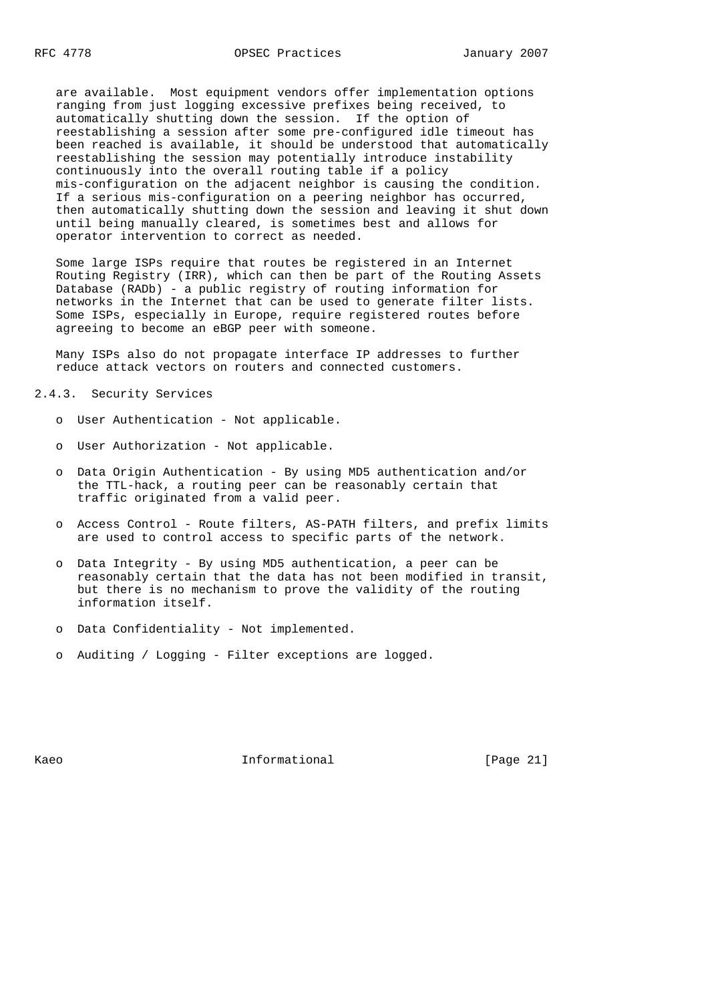are available. Most equipment vendors offer implementation options ranging from just logging excessive prefixes being received, to automatically shutting down the session. If the option of reestablishing a session after some pre-configured idle timeout has been reached is available, it should be understood that automatically reestablishing the session may potentially introduce instability continuously into the overall routing table if a policy mis-configuration on the adjacent neighbor is causing the condition. If a serious mis-configuration on a peering neighbor has occurred, then automatically shutting down the session and leaving it shut down until being manually cleared, is sometimes best and allows for operator intervention to correct as needed.

 Some large ISPs require that routes be registered in an Internet Routing Registry (IRR), which can then be part of the Routing Assets Database (RADb) - a public registry of routing information for networks in the Internet that can be used to generate filter lists. Some ISPs, especially in Europe, require registered routes before agreeing to become an eBGP peer with someone.

 Many ISPs also do not propagate interface IP addresses to further reduce attack vectors on routers and connected customers.

## 2.4.3. Security Services

- o User Authentication Not applicable.
- o User Authorization Not applicable.
- o Data Origin Authentication By using MD5 authentication and/or the TTL-hack, a routing peer can be reasonably certain that traffic originated from a valid peer.
- o Access Control Route filters, AS-PATH filters, and prefix limits are used to control access to specific parts of the network.
- o Data Integrity By using MD5 authentication, a peer can be reasonably certain that the data has not been modified in transit, but there is no mechanism to prove the validity of the routing information itself.
- o Data Confidentiality Not implemented.
- o Auditing / Logging Filter exceptions are logged.

Kaeo **Informational Informational** [Page 21]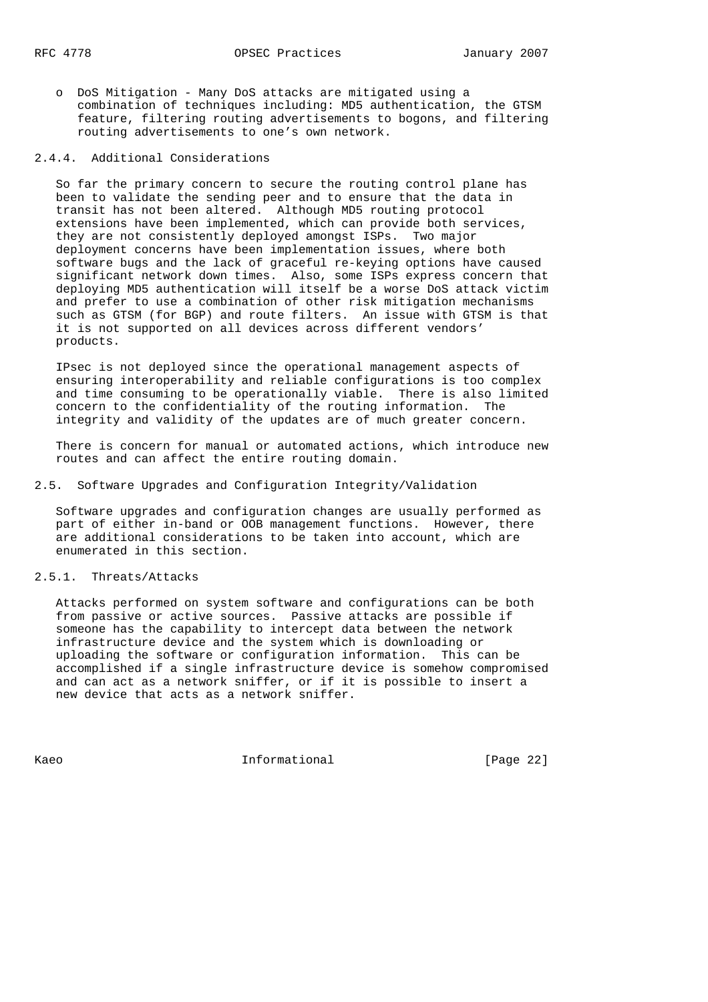o DoS Mitigation - Many DoS attacks are mitigated using a combination of techniques including: MD5 authentication, the GTSM feature, filtering routing advertisements to bogons, and filtering routing advertisements to one's own network.

## 2.4.4. Additional Considerations

 So far the primary concern to secure the routing control plane has been to validate the sending peer and to ensure that the data in transit has not been altered. Although MD5 routing protocol extensions have been implemented, which can provide both services, they are not consistently deployed amongst ISPs. Two major deployment concerns have been implementation issues, where both software bugs and the lack of graceful re-keying options have caused significant network down times. Also, some ISPs express concern that deploying MD5 authentication will itself be a worse DoS attack victim and prefer to use a combination of other risk mitigation mechanisms such as GTSM (for BGP) and route filters. An issue with GTSM is that it is not supported on all devices across different vendors' products.

 IPsec is not deployed since the operational management aspects of ensuring interoperability and reliable configurations is too complex and time consuming to be operationally viable. There is also limited concern to the confidentiality of the routing information. The integrity and validity of the updates are of much greater concern.

 There is concern for manual or automated actions, which introduce new routes and can affect the entire routing domain.

2.5. Software Upgrades and Configuration Integrity/Validation

 Software upgrades and configuration changes are usually performed as part of either in-band or OOB management functions. However, there are additional considerations to be taken into account, which are enumerated in this section.

#### 2.5.1. Threats/Attacks

 Attacks performed on system software and configurations can be both from passive or active sources. Passive attacks are possible if someone has the capability to intercept data between the network infrastructure device and the system which is downloading or uploading the software or configuration information. This can be accomplished if a single infrastructure device is somehow compromised and can act as a network sniffer, or if it is possible to insert a new device that acts as a network sniffer.

Kaeo **Informational Informational** [Page 22]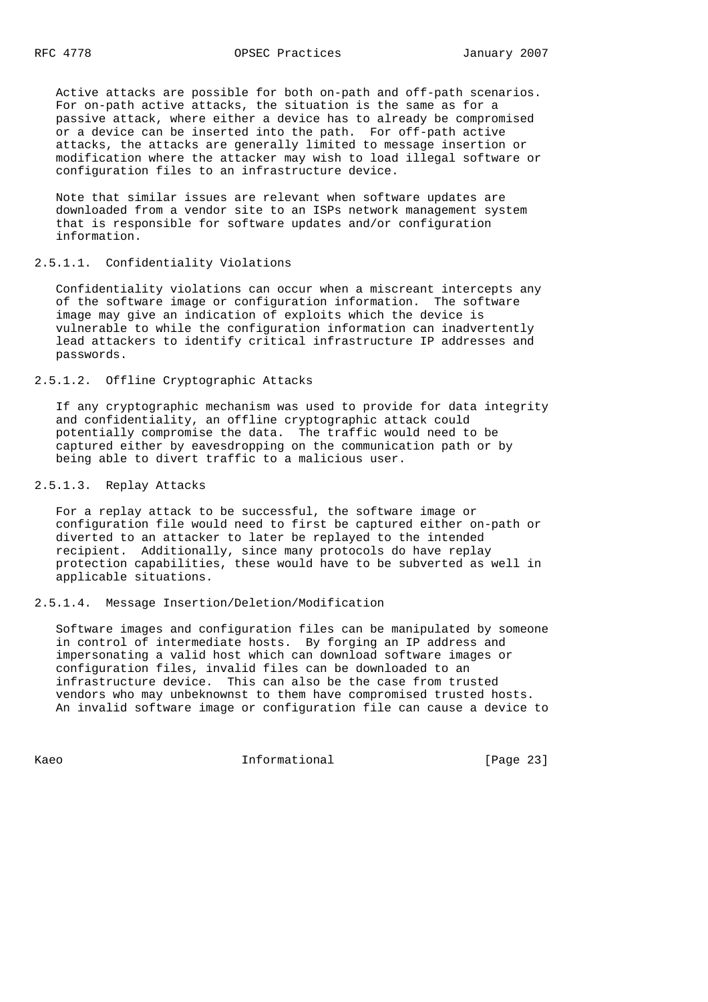Active attacks are possible for both on-path and off-path scenarios. For on-path active attacks, the situation is the same as for a passive attack, where either a device has to already be compromised or a device can be inserted into the path. For off-path active attacks, the attacks are generally limited to message insertion or modification where the attacker may wish to load illegal software or configuration files to an infrastructure device.

 Note that similar issues are relevant when software updates are downloaded from a vendor site to an ISPs network management system that is responsible for software updates and/or configuration information.

## 2.5.1.1. Confidentiality Violations

 Confidentiality violations can occur when a miscreant intercepts any of the software image or configuration information. The software image may give an indication of exploits which the device is vulnerable to while the configuration information can inadvertently lead attackers to identify critical infrastructure IP addresses and passwords.

## 2.5.1.2. Offline Cryptographic Attacks

 If any cryptographic mechanism was used to provide for data integrity and confidentiality, an offline cryptographic attack could potentially compromise the data. The traffic would need to be captured either by eavesdropping on the communication path or by being able to divert traffic to a malicious user.

## 2.5.1.3. Replay Attacks

 For a replay attack to be successful, the software image or configuration file would need to first be captured either on-path or diverted to an attacker to later be replayed to the intended recipient. Additionally, since many protocols do have replay protection capabilities, these would have to be subverted as well in applicable situations.

## 2.5.1.4. Message Insertion/Deletion/Modification

 Software images and configuration files can be manipulated by someone in control of intermediate hosts. By forging an IP address and impersonating a valid host which can download software images or configuration files, invalid files can be downloaded to an infrastructure device. This can also be the case from trusted vendors who may unbeknownst to them have compromised trusted hosts. An invalid software image or configuration file can cause a device to

Kaeo **Informational** Informational [Page 23]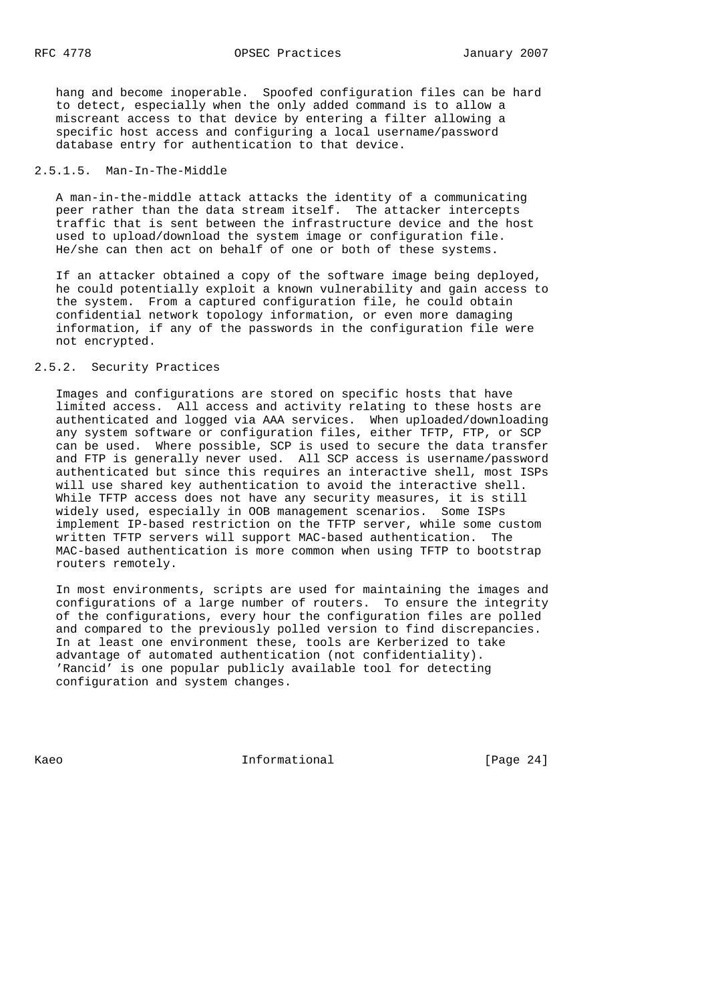hang and become inoperable. Spoofed configuration files can be hard to detect, especially when the only added command is to allow a miscreant access to that device by entering a filter allowing a specific host access and configuring a local username/password database entry for authentication to that device.

## 2.5.1.5. Man-In-The-Middle

 A man-in-the-middle attack attacks the identity of a communicating peer rather than the data stream itself. The attacker intercepts traffic that is sent between the infrastructure device and the host used to upload/download the system image or configuration file. He/she can then act on behalf of one or both of these systems.

 If an attacker obtained a copy of the software image being deployed, he could potentially exploit a known vulnerability and gain access to the system. From a captured configuration file, he could obtain confidential network topology information, or even more damaging information, if any of the passwords in the configuration file were not encrypted.

## 2.5.2. Security Practices

 Images and configurations are stored on specific hosts that have limited access. All access and activity relating to these hosts are authenticated and logged via AAA services. When uploaded/downloading any system software or configuration files, either TFTP, FTP, or SCP can be used. Where possible, SCP is used to secure the data transfer and FTP is generally never used. All SCP access is username/password authenticated but since this requires an interactive shell, most ISPs will use shared key authentication to avoid the interactive shell. While TFTP access does not have any security measures, it is still widely used, especially in OOB management scenarios. Some ISPs implement IP-based restriction on the TFTP server, while some custom written TFTP servers will support MAC-based authentication. The MAC-based authentication is more common when using TFTP to bootstrap routers remotely.

 In most environments, scripts are used for maintaining the images and configurations of a large number of routers. To ensure the integrity of the configurations, every hour the configuration files are polled and compared to the previously polled version to find discrepancies. In at least one environment these, tools are Kerberized to take advantage of automated authentication (not confidentiality). 'Rancid' is one popular publicly available tool for detecting configuration and system changes.

Kaeo **Informational Informational** [Page 24]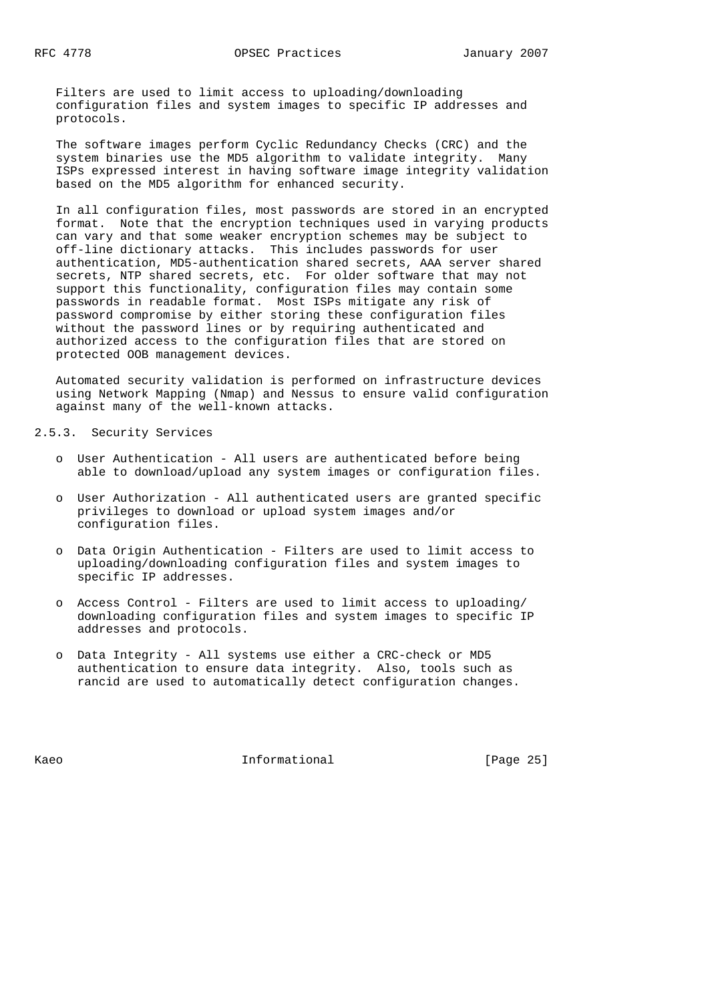Filters are used to limit access to uploading/downloading configuration files and system images to specific IP addresses and protocols.

 The software images perform Cyclic Redundancy Checks (CRC) and the system binaries use the MD5 algorithm to validate integrity. Many ISPs expressed interest in having software image integrity validation based on the MD5 algorithm for enhanced security.

 In all configuration files, most passwords are stored in an encrypted format. Note that the encryption techniques used in varying products can vary and that some weaker encryption schemes may be subject to off-line dictionary attacks. This includes passwords for user authentication, MD5-authentication shared secrets, AAA server shared secrets, NTP shared secrets, etc. For older software that may not support this functionality, configuration files may contain some passwords in readable format. Most ISPs mitigate any risk of password compromise by either storing these configuration files without the password lines or by requiring authenticated and authorized access to the configuration files that are stored on protected OOB management devices.

 Automated security validation is performed on infrastructure devices using Network Mapping (Nmap) and Nessus to ensure valid configuration against many of the well-known attacks.

2.5.3. Security Services

- o User Authentication All users are authenticated before being able to download/upload any system images or configuration files.
- o User Authorization All authenticated users are granted specific privileges to download or upload system images and/or configuration files.
- o Data Origin Authentication Filters are used to limit access to uploading/downloading configuration files and system images to specific IP addresses.
- o Access Control Filters are used to limit access to uploading/ downloading configuration files and system images to specific IP addresses and protocols.
- o Data Integrity All systems use either a CRC-check or MD5 authentication to ensure data integrity. Also, tools such as rancid are used to automatically detect configuration changes.

Kaeo **Informational** Informational [Page 25]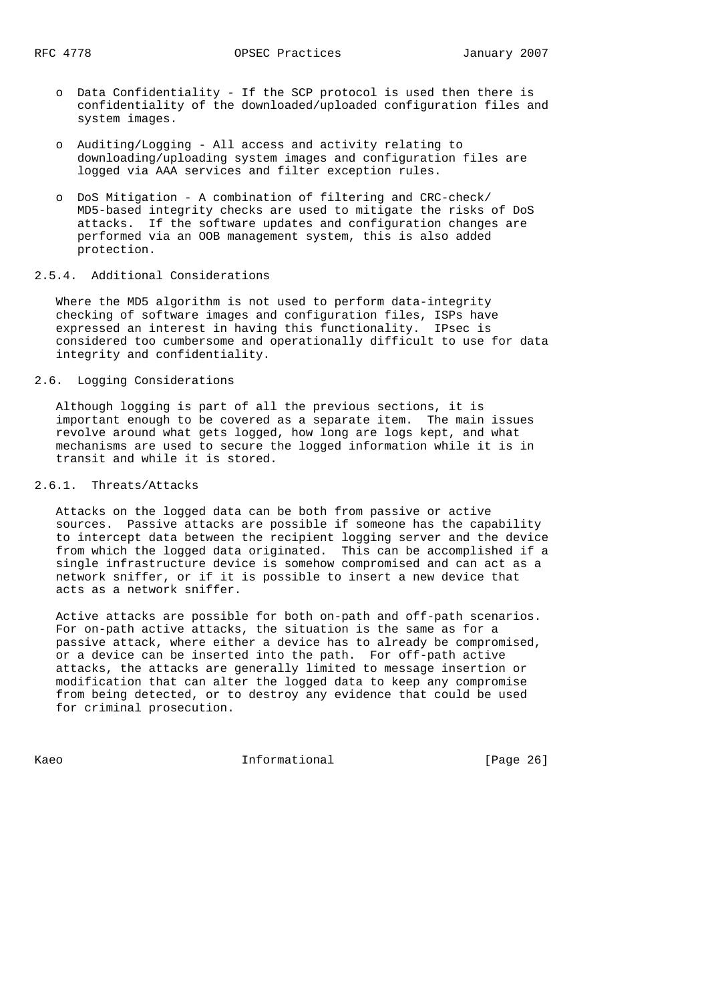- o Data Confidentiality If the SCP protocol is used then there is confidentiality of the downloaded/uploaded configuration files and system images.
- o Auditing/Logging All access and activity relating to downloading/uploading system images and configuration files are logged via AAA services and filter exception rules.
- o DoS Mitigation A combination of filtering and CRC-check/ MD5-based integrity checks are used to mitigate the risks of DoS attacks. If the software updates and configuration changes are performed via an OOB management system, this is also added protection.

# 2.5.4. Additional Considerations

 Where the MD5 algorithm is not used to perform data-integrity checking of software images and configuration files, ISPs have expressed an interest in having this functionality. IPsec is considered too cumbersome and operationally difficult to use for data integrity and confidentiality.

## 2.6. Logging Considerations

 Although logging is part of all the previous sections, it is important enough to be covered as a separate item. The main issues revolve around what gets logged, how long are logs kept, and what mechanisms are used to secure the logged information while it is in transit and while it is stored.

## 2.6.1. Threats/Attacks

 Attacks on the logged data can be both from passive or active sources. Passive attacks are possible if someone has the capability to intercept data between the recipient logging server and the device from which the logged data originated. This can be accomplished if a single infrastructure device is somehow compromised and can act as a network sniffer, or if it is possible to insert a new device that acts as a network sniffer.

 Active attacks are possible for both on-path and off-path scenarios. For on-path active attacks, the situation is the same as for a passive attack, where either a device has to already be compromised, or a device can be inserted into the path. For off-path active attacks, the attacks are generally limited to message insertion or modification that can alter the logged data to keep any compromise from being detected, or to destroy any evidence that could be used for criminal prosecution.

Kaeo **Informational** Informational [Page 26]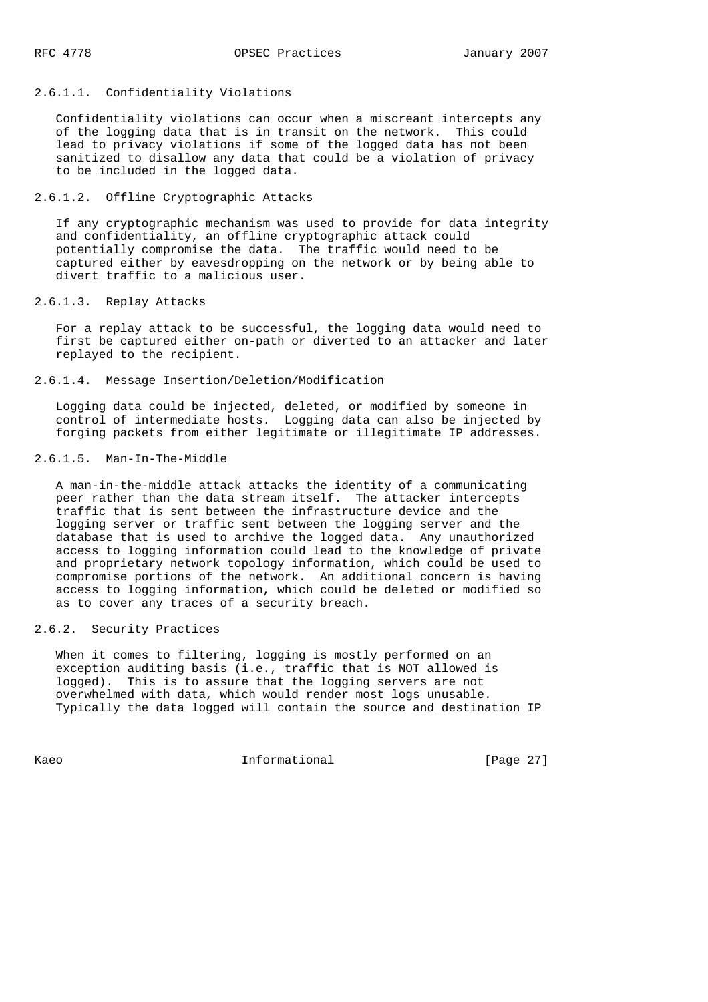## 2.6.1.1. Confidentiality Violations

 Confidentiality violations can occur when a miscreant intercepts any of the logging data that is in transit on the network. This could lead to privacy violations if some of the logged data has not been sanitized to disallow any data that could be a violation of privacy to be included in the logged data.

### 2.6.1.2. Offline Cryptographic Attacks

 If any cryptographic mechanism was used to provide for data integrity and confidentiality, an offline cryptographic attack could potentially compromise the data. The traffic would need to be captured either by eavesdropping on the network or by being able to divert traffic to a malicious user.

## 2.6.1.3. Replay Attacks

 For a replay attack to be successful, the logging data would need to first be captured either on-path or diverted to an attacker and later replayed to the recipient.

2.6.1.4. Message Insertion/Deletion/Modification

 Logging data could be injected, deleted, or modified by someone in control of intermediate hosts. Logging data can also be injected by forging packets from either legitimate or illegitimate IP addresses.

## 2.6.1.5. Man-In-The-Middle

 A man-in-the-middle attack attacks the identity of a communicating peer rather than the data stream itself. The attacker intercepts traffic that is sent between the infrastructure device and the logging server or traffic sent between the logging server and the database that is used to archive the logged data. Any unauthorized access to logging information could lead to the knowledge of private and proprietary network topology information, which could be used to compromise portions of the network. An additional concern is having access to logging information, which could be deleted or modified so as to cover any traces of a security breach.

## 2.6.2. Security Practices

 When it comes to filtering, logging is mostly performed on an exception auditing basis (i.e., traffic that is NOT allowed is logged). This is to assure that the logging servers are not overwhelmed with data, which would render most logs unusable. Typically the data logged will contain the source and destination IP

Kaeo **Informational** Informational [Page 27]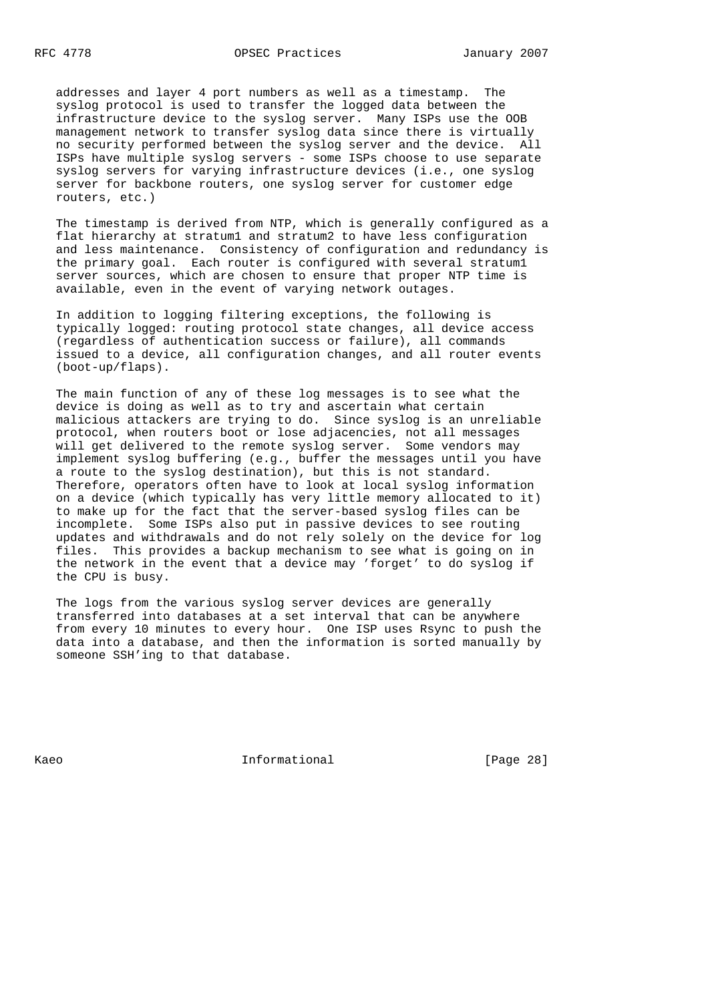addresses and layer 4 port numbers as well as a timestamp. The syslog protocol is used to transfer the logged data between the infrastructure device to the syslog server. Many ISPs use the OOB management network to transfer syslog data since there is virtually no security performed between the syslog server and the device. All ISPs have multiple syslog servers - some ISPs choose to use separate syslog servers for varying infrastructure devices (i.e., one syslog server for backbone routers, one syslog server for customer edge routers, etc.)

 The timestamp is derived from NTP, which is generally configured as a flat hierarchy at stratum1 and stratum2 to have less configuration and less maintenance. Consistency of configuration and redundancy is the primary goal. Each router is configured with several stratum1 server sources, which are chosen to ensure that proper NTP time is available, even in the event of varying network outages.

 In addition to logging filtering exceptions, the following is typically logged: routing protocol state changes, all device access (regardless of authentication success or failure), all commands issued to a device, all configuration changes, and all router events (boot-up/flaps).

 The main function of any of these log messages is to see what the device is doing as well as to try and ascertain what certain malicious attackers are trying to do. Since syslog is an unreliable protocol, when routers boot or lose adjacencies, not all messages will get delivered to the remote syslog server. Some vendors may implement syslog buffering (e.g., buffer the messages until you have a route to the syslog destination), but this is not standard. Therefore, operators often have to look at local syslog information on a device (which typically has very little memory allocated to it) to make up for the fact that the server-based syslog files can be incomplete. Some ISPs also put in passive devices to see routing updates and withdrawals and do not rely solely on the device for log files. This provides a backup mechanism to see what is going on in the network in the event that a device may 'forget' to do syslog if the CPU is busy.

 The logs from the various syslog server devices are generally transferred into databases at a set interval that can be anywhere from every 10 minutes to every hour. One ISP uses Rsync to push the data into a database, and then the information is sorted manually by someone SSH'ing to that database.

Kaeo **Informational** Informational [Page 28]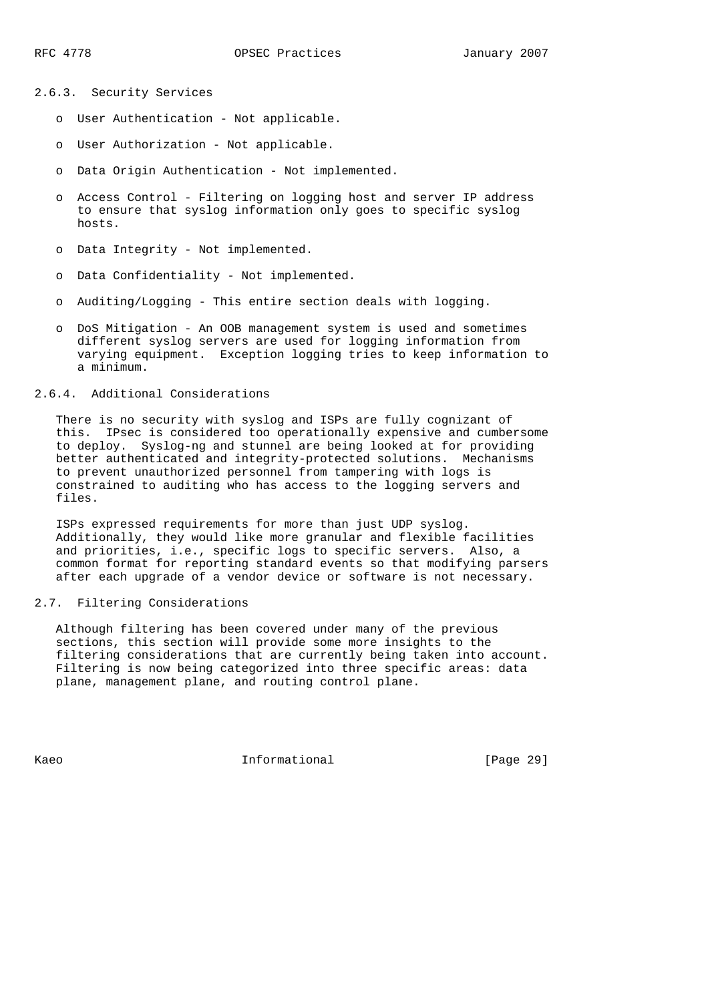2.6.3. Security Services

- o User Authentication Not applicable.
- o User Authorization Not applicable.
- o Data Origin Authentication Not implemented.
- o Access Control Filtering on logging host and server IP address to ensure that syslog information only goes to specific syslog hosts.
- o Data Integrity Not implemented.
- o Data Confidentiality Not implemented.
- o Auditing/Logging This entire section deals with logging.
- o DoS Mitigation An OOB management system is used and sometimes different syslog servers are used for logging information from varying equipment. Exception logging tries to keep information to a minimum.

## 2.6.4. Additional Considerations

 There is no security with syslog and ISPs are fully cognizant of this. IPsec is considered too operationally expensive and cumbersome to deploy. Syslog-ng and stunnel are being looked at for providing better authenticated and integrity-protected solutions. Mechanisms to prevent unauthorized personnel from tampering with logs is constrained to auditing who has access to the logging servers and files.

 ISPs expressed requirements for more than just UDP syslog. Additionally, they would like more granular and flexible facilities and priorities, i.e., specific logs to specific servers. Also, a common format for reporting standard events so that modifying parsers after each upgrade of a vendor device or software is not necessary.

## 2.7. Filtering Considerations

 Although filtering has been covered under many of the previous sections, this section will provide some more insights to the filtering considerations that are currently being taken into account. Filtering is now being categorized into three specific areas: data plane, management plane, and routing control plane.

Kaeo **Informational** Informational [Page 29]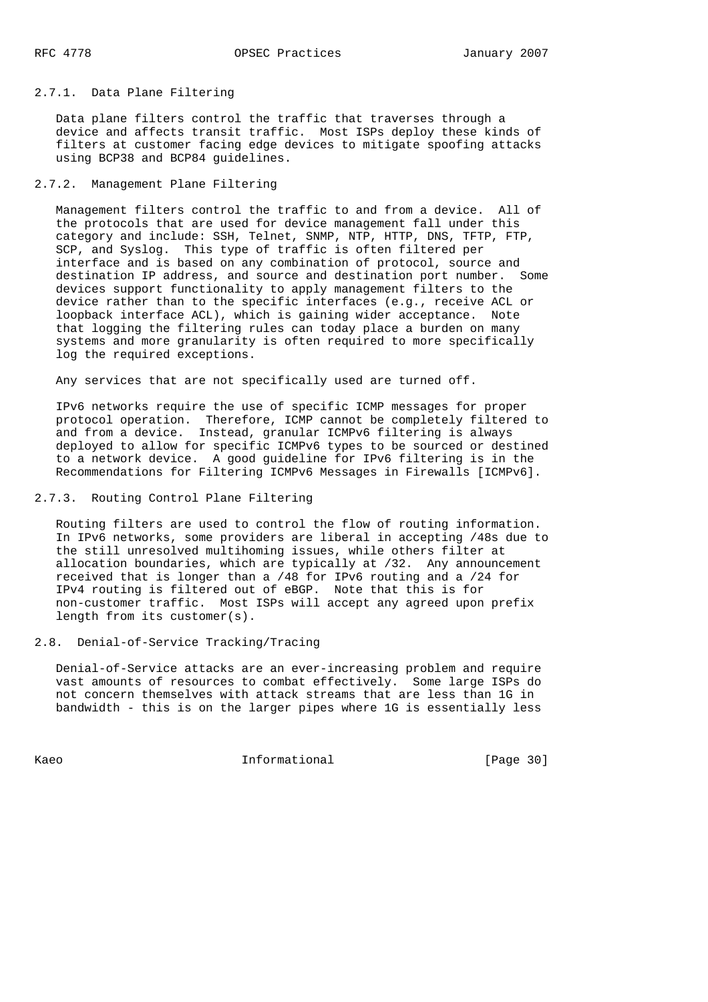#### 2.7.1. Data Plane Filtering

 Data plane filters control the traffic that traverses through a device and affects transit traffic. Most ISPs deploy these kinds of filters at customer facing edge devices to mitigate spoofing attacks using BCP38 and BCP84 guidelines.

## 2.7.2. Management Plane Filtering

 Management filters control the traffic to and from a device. All of the protocols that are used for device management fall under this category and include: SSH, Telnet, SNMP, NTP, HTTP, DNS, TFTP, FTP, SCP, and Syslog. This type of traffic is often filtered per interface and is based on any combination of protocol, source and destination IP address, and source and destination port number. Some devices support functionality to apply management filters to the device rather than to the specific interfaces (e.g., receive ACL or loopback interface ACL), which is gaining wider acceptance. Note that logging the filtering rules can today place a burden on many systems and more granularity is often required to more specifically log the required exceptions.

Any services that are not specifically used are turned off.

 IPv6 networks require the use of specific ICMP messages for proper protocol operation. Therefore, ICMP cannot be completely filtered to and from a device. Instead, granular ICMPv6 filtering is always deployed to allow for specific ICMPv6 types to be sourced or destined to a network device. A good guideline for IPv6 filtering is in the Recommendations for Filtering ICMPv6 Messages in Firewalls [ICMPv6].

## 2.7.3. Routing Control Plane Filtering

 Routing filters are used to control the flow of routing information. In IPv6 networks, some providers are liberal in accepting /48s due to the still unresolved multihoming issues, while others filter at allocation boundaries, which are typically at /32. Any announcement received that is longer than a /48 for IPv6 routing and a /24 for IPv4 routing is filtered out of eBGP. Note that this is for non-customer traffic. Most ISPs will accept any agreed upon prefix length from its customer(s).

## 2.8. Denial-of-Service Tracking/Tracing

 Denial-of-Service attacks are an ever-increasing problem and require vast amounts of resources to combat effectively. Some large ISPs do not concern themselves with attack streams that are less than 1G in bandwidth - this is on the larger pipes where 1G is essentially less

Kaeo **Informational** Informational [Page 30]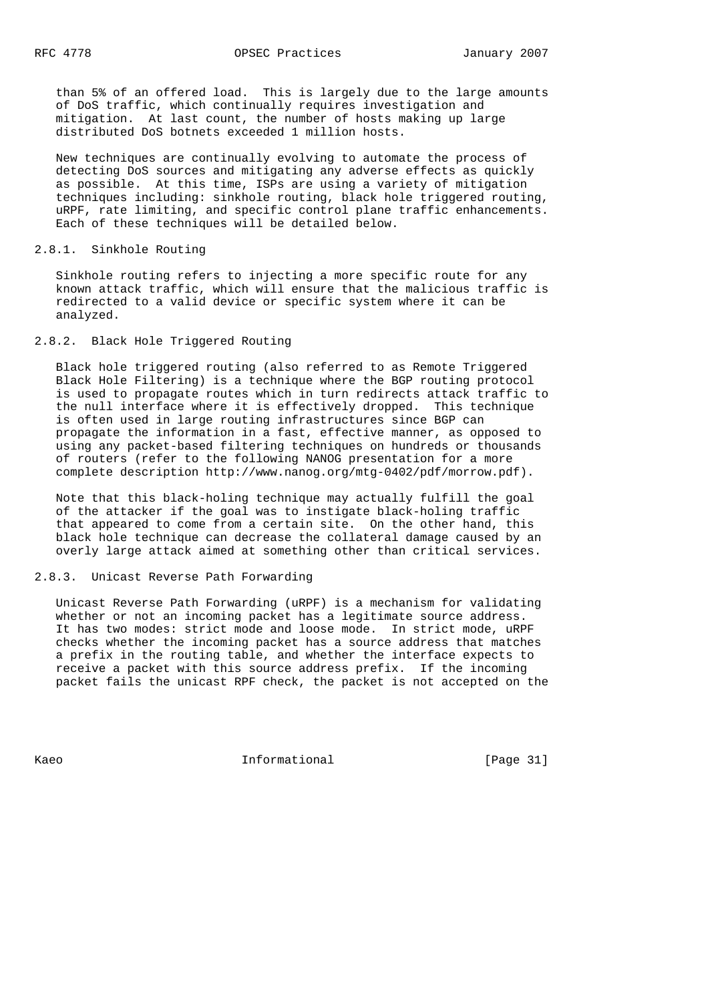than 5% of an offered load. This is largely due to the large amounts of DoS traffic, which continually requires investigation and mitigation. At last count, the number of hosts making up large distributed DoS botnets exceeded 1 million hosts.

 New techniques are continually evolving to automate the process of detecting DoS sources and mitigating any adverse effects as quickly as possible. At this time, ISPs are using a variety of mitigation techniques including: sinkhole routing, black hole triggered routing, uRPF, rate limiting, and specific control plane traffic enhancements. Each of these techniques will be detailed below.

#### 2.8.1. Sinkhole Routing

 Sinkhole routing refers to injecting a more specific route for any known attack traffic, which will ensure that the malicious traffic is redirected to a valid device or specific system where it can be analyzed.

## 2.8.2. Black Hole Triggered Routing

 Black hole triggered routing (also referred to as Remote Triggered Black Hole Filtering) is a technique where the BGP routing protocol is used to propagate routes which in turn redirects attack traffic to the null interface where it is effectively dropped. This technique is often used in large routing infrastructures since BGP can propagate the information in a fast, effective manner, as opposed to using any packet-based filtering techniques on hundreds or thousands of routers (refer to the following NANOG presentation for a more complete description http://www.nanog.org/mtg-0402/pdf/morrow.pdf).

 Note that this black-holing technique may actually fulfill the goal of the attacker if the goal was to instigate black-holing traffic that appeared to come from a certain site. On the other hand, this black hole technique can decrease the collateral damage caused by an overly large attack aimed at something other than critical services.

#### 2.8.3. Unicast Reverse Path Forwarding

 Unicast Reverse Path Forwarding (uRPF) is a mechanism for validating whether or not an incoming packet has a legitimate source address. It has two modes: strict mode and loose mode. In strict mode, uRPF checks whether the incoming packet has a source address that matches a prefix in the routing table, and whether the interface expects to receive a packet with this source address prefix. If the incoming packet fails the unicast RPF check, the packet is not accepted on the

Kaeo **Informational Informational** [Page 31]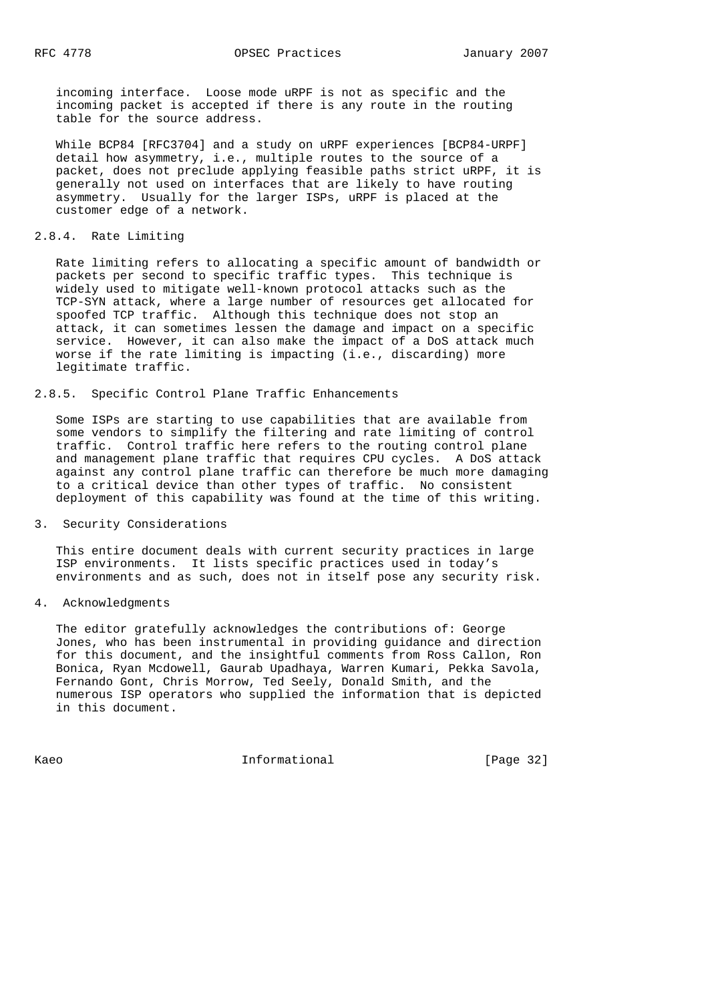incoming interface. Loose mode uRPF is not as specific and the incoming packet is accepted if there is any route in the routing table for the source address.

 While BCP84 [RFC3704] and a study on uRPF experiences [BCP84-URPF] detail how asymmetry, i.e., multiple routes to the source of a packet, does not preclude applying feasible paths strict uRPF, it is generally not used on interfaces that are likely to have routing asymmetry. Usually for the larger ISPs, uRPF is placed at the customer edge of a network.

## 2.8.4. Rate Limiting

 Rate limiting refers to allocating a specific amount of bandwidth or packets per second to specific traffic types. This technique is widely used to mitigate well-known protocol attacks such as the TCP-SYN attack, where a large number of resources get allocated for spoofed TCP traffic. Although this technique does not stop an attack, it can sometimes lessen the damage and impact on a specific service. However, it can also make the impact of a DoS attack much worse if the rate limiting is impacting (i.e., discarding) more legitimate traffic.

## 2.8.5. Specific Control Plane Traffic Enhancements

 Some ISPs are starting to use capabilities that are available from some vendors to simplify the filtering and rate limiting of control traffic. Control traffic here refers to the routing control plane and management plane traffic that requires CPU cycles. A DoS attack against any control plane traffic can therefore be much more damaging to a critical device than other types of traffic. No consistent deployment of this capability was found at the time of this writing.

## 3. Security Considerations

 This entire document deals with current security practices in large ISP environments. It lists specific practices used in today's environments and as such, does not in itself pose any security risk.

## 4. Acknowledgments

 The editor gratefully acknowledges the contributions of: George Jones, who has been instrumental in providing guidance and direction for this document, and the insightful comments from Ross Callon, Ron Bonica, Ryan Mcdowell, Gaurab Upadhaya, Warren Kumari, Pekka Savola, Fernando Gont, Chris Morrow, Ted Seely, Donald Smith, and the numerous ISP operators who supplied the information that is depicted in this document.

Kaeo **Informational Informational** [Page 32]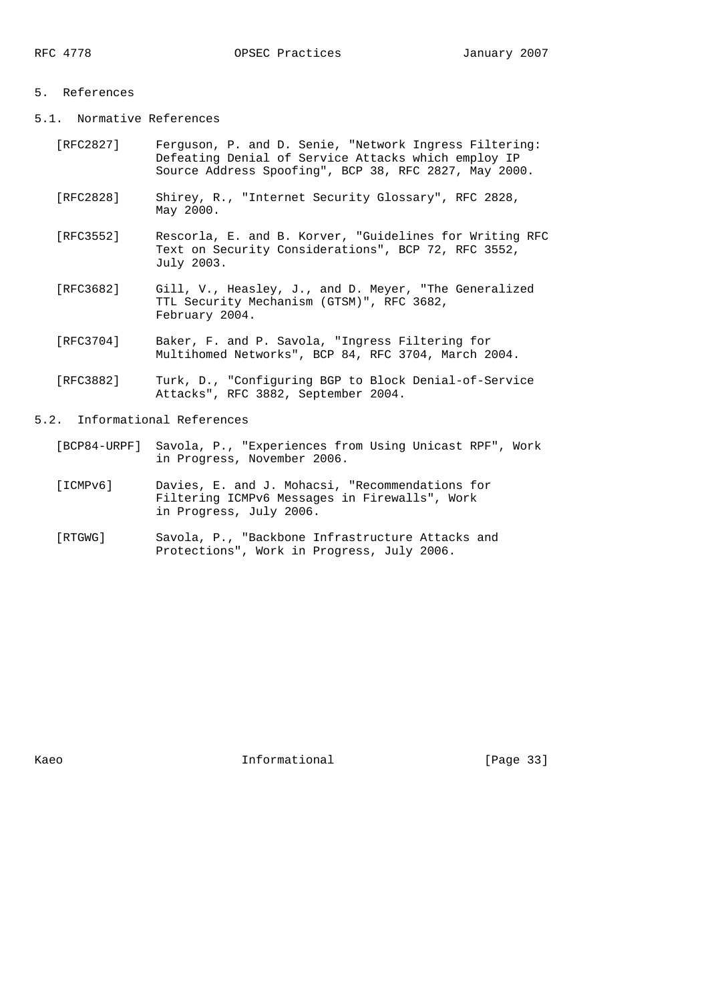#### 5. References

- 5.1. Normative References
	- [RFC2827] Ferguson, P. and D. Senie, "Network Ingress Filtering: Defeating Denial of Service Attacks which employ IP Source Address Spoofing", BCP 38, RFC 2827, May 2000.
	- [RFC2828] Shirey, R., "Internet Security Glossary", RFC 2828, May 2000.
	- [RFC3552] Rescorla, E. and B. Korver, "Guidelines for Writing RFC Text on Security Considerations", BCP 72, RFC 3552, July 2003.
	- [RFC3682] Gill, V., Heasley, J., and D. Meyer, "The Generalized TTL Security Mechanism (GTSM)", RFC 3682, February 2004.
	- [RFC3704] Baker, F. and P. Savola, "Ingress Filtering for Multihomed Networks", BCP 84, RFC 3704, March 2004.
- [RFC3882] Turk, D., "Configuring BGP to Block Denial-of-Service Attacks", RFC 3882, September 2004.

5.2. Informational References

- [BCP84-URPF] Savola, P., "Experiences from Using Unicast RPF", Work in Progress, November 2006.
	- [ICMPv6] Davies, E. and J. Mohacsi, "Recommendations for Filtering ICMPv6 Messages in Firewalls", Work in Progress, July 2006.
	- [RTGWG] Savola, P., "Backbone Infrastructure Attacks and Protections", Work in Progress, July 2006.

Kaeo **Informational** Informational [Page 33]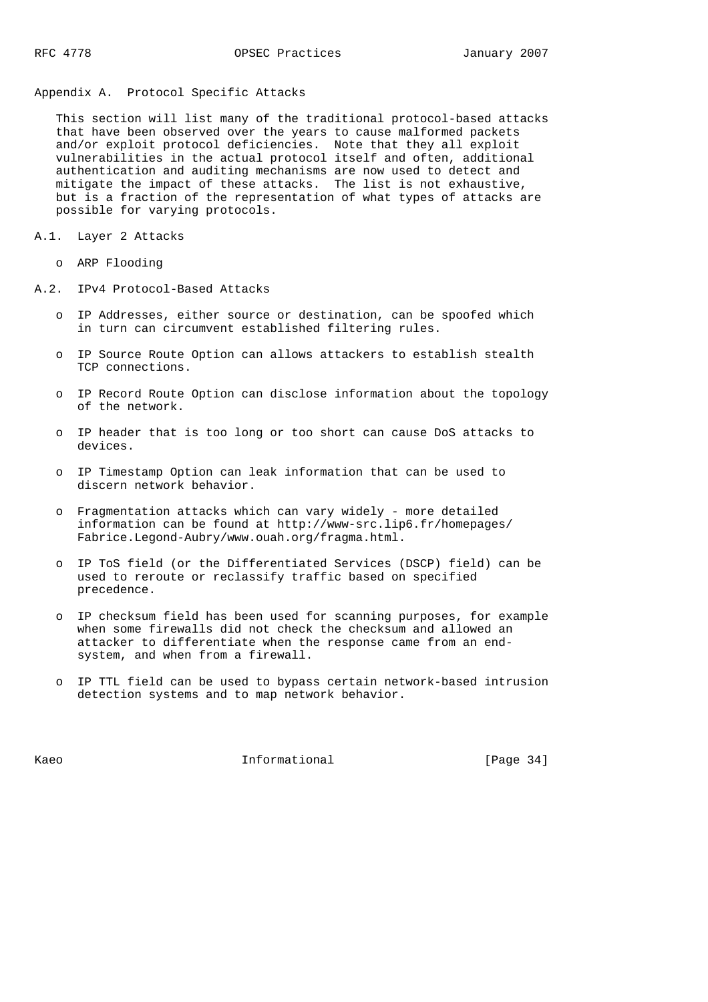## Appendix A. Protocol Specific Attacks

 This section will list many of the traditional protocol-based attacks that have been observed over the years to cause malformed packets and/or exploit protocol deficiencies. Note that they all exploit vulnerabilities in the actual protocol itself and often, additional authentication and auditing mechanisms are now used to detect and mitigate the impact of these attacks. The list is not exhaustive, but is a fraction of the representation of what types of attacks are possible for varying protocols.

- A.1. Layer 2 Attacks
	- o ARP Flooding
- A.2. IPv4 Protocol-Based Attacks
	- o IP Addresses, either source or destination, can be spoofed which in turn can circumvent established filtering rules.
	- o IP Source Route Option can allows attackers to establish stealth TCP connections.
	- o IP Record Route Option can disclose information about the topology of the network.
	- o IP header that is too long or too short can cause DoS attacks to devices.
	- o IP Timestamp Option can leak information that can be used to discern network behavior.
	- o Fragmentation attacks which can vary widely more detailed information can be found at http://www-src.lip6.fr/homepages/ Fabrice.Legond-Aubry/www.ouah.org/fragma.html.
	- o IP ToS field (or the Differentiated Services (DSCP) field) can be used to reroute or reclassify traffic based on specified precedence.
	- o IP checksum field has been used for scanning purposes, for example when some firewalls did not check the checksum and allowed an attacker to differentiate when the response came from an end system, and when from a firewall.
	- o IP TTL field can be used to bypass certain network-based intrusion detection systems and to map network behavior.

Kaeo **Informational** Informational [Page 34]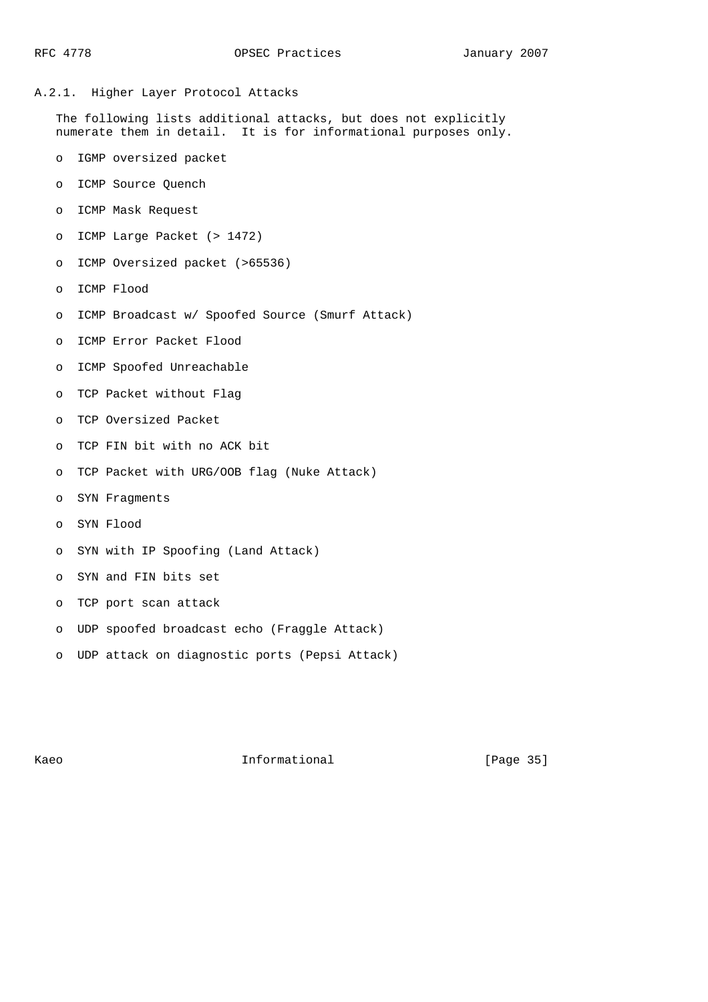## A.2.1. Higher Layer Protocol Attacks

 The following lists additional attacks, but does not explicitly numerate them in detail. It is for informational purposes only.

- o IGMP oversized packet
- o ICMP Source Quench
- o ICMP Mask Request
- o ICMP Large Packet (> 1472)
- o ICMP Oversized packet (>65536)
- o ICMP Flood
- o ICMP Broadcast w/ Spoofed Source (Smurf Attack)
- o ICMP Error Packet Flood
- o ICMP Spoofed Unreachable
- o TCP Packet without Flag
- o TCP Oversized Packet
- o TCP FIN bit with no ACK bit
- o TCP Packet with URG/OOB flag (Nuke Attack)
- o SYN Fragments
- o SYN Flood
- o SYN with IP Spoofing (Land Attack)
- o SYN and FIN bits set
- o TCP port scan attack
- o UDP spoofed broadcast echo (Fraggle Attack)
- o UDP attack on diagnostic ports (Pepsi Attack)

Kaeo **Informational** [Page 35]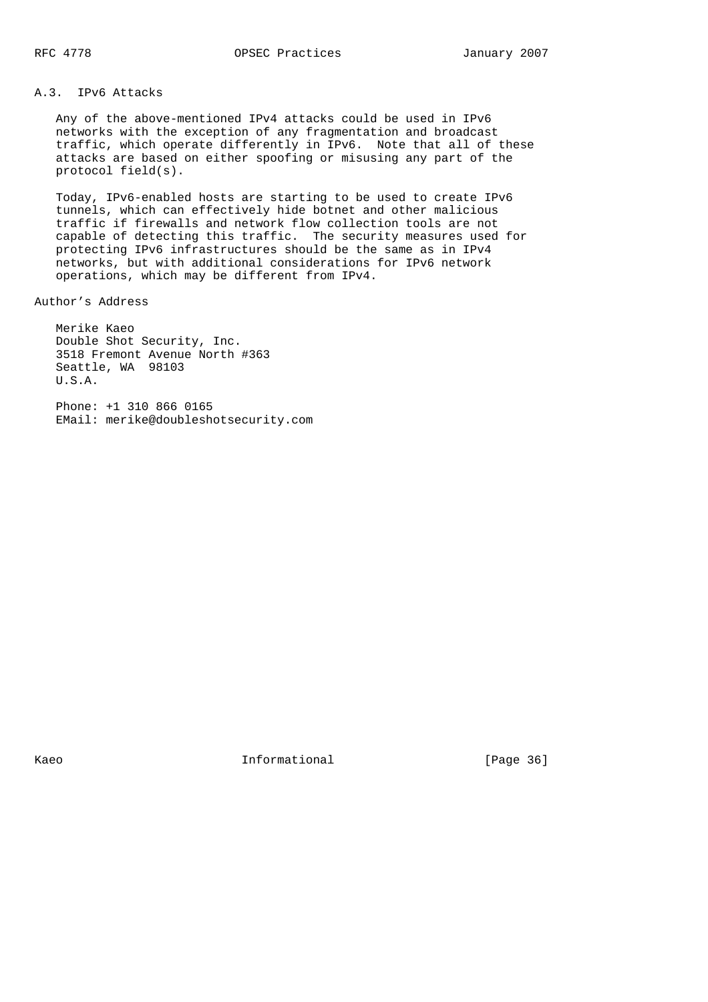## A.3. IPv6 Attacks

 Any of the above-mentioned IPv4 attacks could be used in IPv6 networks with the exception of any fragmentation and broadcast traffic, which operate differently in IPv6. Note that all of these attacks are based on either spoofing or misusing any part of the protocol field(s).

 Today, IPv6-enabled hosts are starting to be used to create IPv6 tunnels, which can effectively hide botnet and other malicious traffic if firewalls and network flow collection tools are not capable of detecting this traffic. The security measures used for protecting IPv6 infrastructures should be the same as in IPv4 networks, but with additional considerations for IPv6 network operations, which may be different from IPv4.

Author's Address

 Merike Kaeo Double Shot Security, Inc. 3518 Fremont Avenue North #363 Seattle, WA 98103 U.S.A.

 Phone: +1 310 866 0165 EMail: merike@doubleshotsecurity.com

Kaeo **Informational** Informational [Page 36]